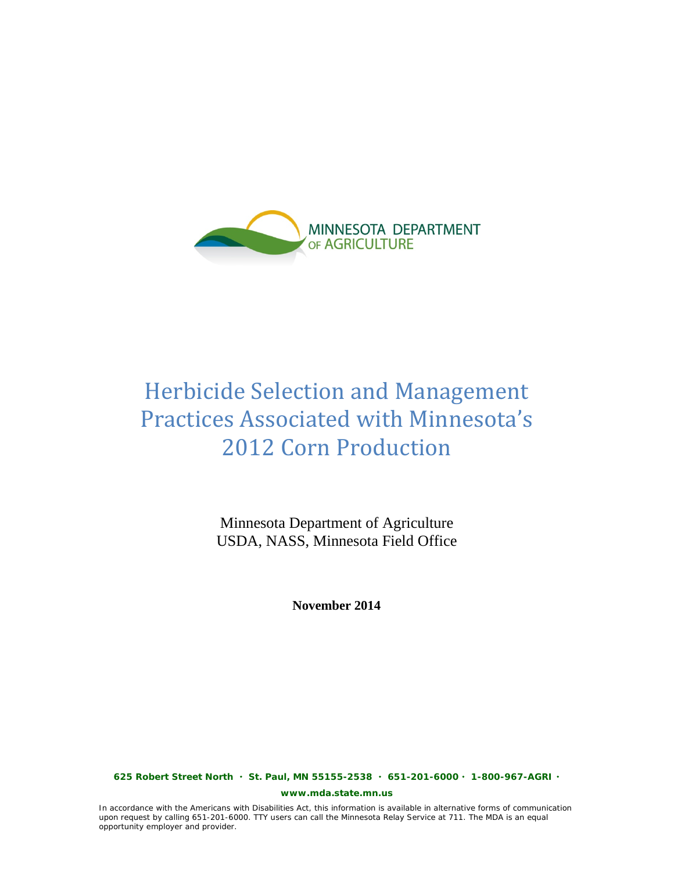

# <span id="page-0-0"></span>Herbicide Selection and Management Practices Associated with Minnesota's 2012 Corn Production

Minnesota Department of Agriculture USDA, NASS, Minnesota Field Office

**November 2014**

**625 Robert Street North St. Paul, MN 55155-2538 651-201-6000 1-800-967-AGRI** 

**www.mda.state.mn.us**

In accordance with the Americans with Disabilities Act, this information is available in alternative forms of communication upon request by calling 651-201-6000. TTY users can call the Minnesota Relay Service at 711. The MDA is an equal opportunity employer and provider.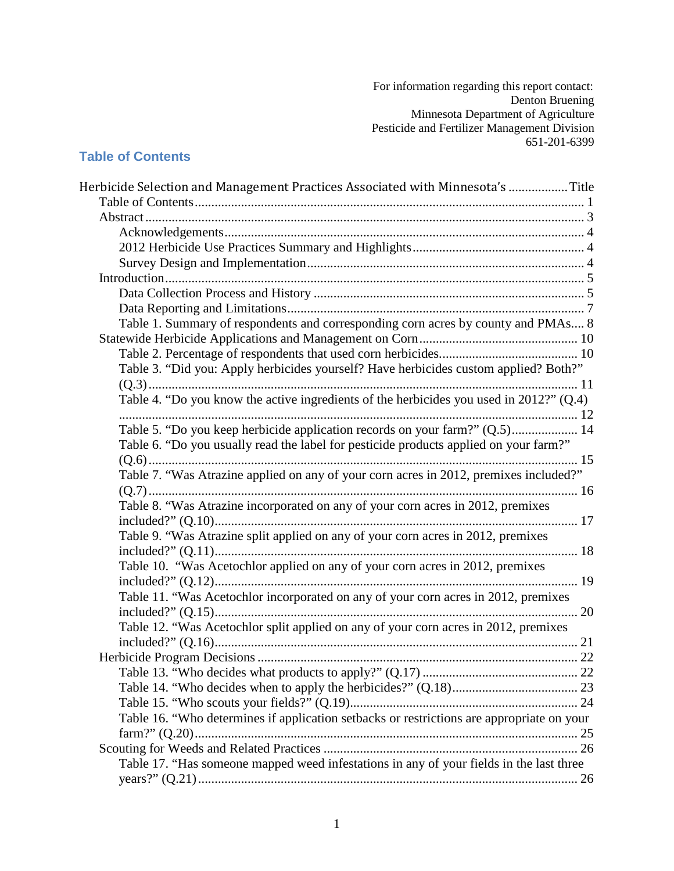For information regarding this report contact: Denton Bruening Minnesota Department of Agriculture Pesticide and Fertilizer Management Division 651-201-6399

#### <span id="page-1-0"></span>**Table of Contents**

| Herbicide Selection and Management Practices Associated with Minnesota's  Title           |  |
|-------------------------------------------------------------------------------------------|--|
|                                                                                           |  |
|                                                                                           |  |
|                                                                                           |  |
|                                                                                           |  |
|                                                                                           |  |
|                                                                                           |  |
|                                                                                           |  |
|                                                                                           |  |
| Table 1. Summary of respondents and corresponding corn acres by county and PMAs 8         |  |
|                                                                                           |  |
|                                                                                           |  |
| Table 3. "Did you: Apply herbicides yourself? Have herbicides custom applied? Both?"      |  |
|                                                                                           |  |
| Table 4. "Do you know the active ingredients of the herbicides you used in 2012?" (Q.4)   |  |
|                                                                                           |  |
| Table 5. "Do you keep herbicide application records on your farm?" (Q.5) 14               |  |
| Table 6. "Do you usually read the label for pesticide products applied on your farm?"     |  |
|                                                                                           |  |
| Table 7. "Was Atrazine applied on any of your corn acres in 2012, premixes included?"     |  |
|                                                                                           |  |
| Table 8. "Was Atrazine incorporated on any of your corn acres in 2012, premixes           |  |
|                                                                                           |  |
| Table 9. "Was Atrazine split applied on any of your corn acres in 2012, premixes          |  |
|                                                                                           |  |
| Table 10. "Was Acetochlor applied on any of your corn acres in 2012, premixes             |  |
|                                                                                           |  |
| Table 11. "Was Acetochlor incorporated on any of your corn acres in 2012, premixes        |  |
|                                                                                           |  |
| Table 12. "Was Acetochlor split applied on any of your corn acres in 2012, premixes       |  |
|                                                                                           |  |
|                                                                                           |  |
|                                                                                           |  |
|                                                                                           |  |
|                                                                                           |  |
| Table 16. "Who determines if application setbacks or restrictions are appropriate on your |  |
|                                                                                           |  |
|                                                                                           |  |
| Table 17. "Has someone mapped weed infestations in any of your fields in the last three   |  |
|                                                                                           |  |
|                                                                                           |  |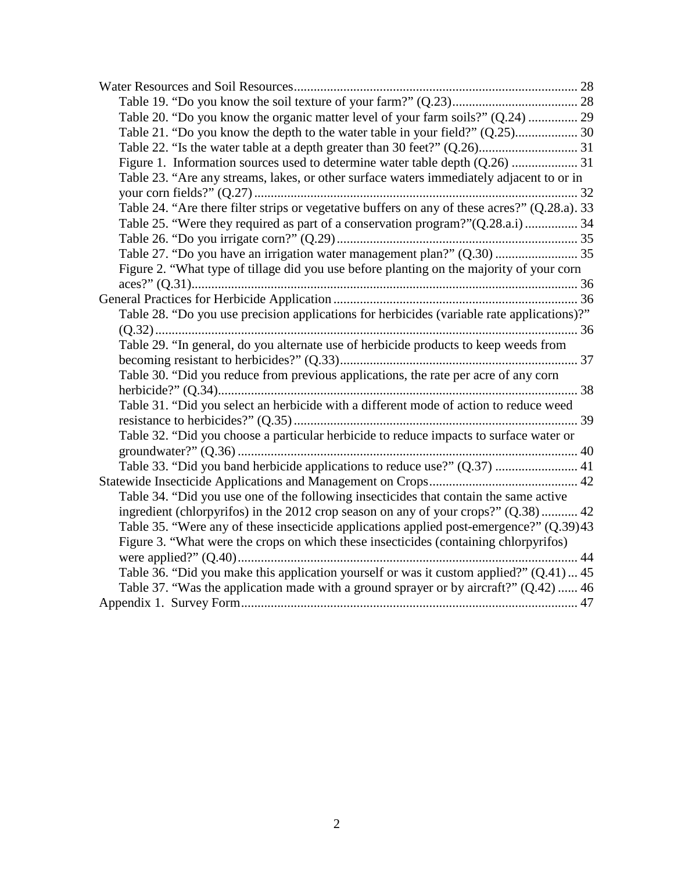| Table 20. "Do you know the organic matter level of your farm soils?" (Q.24)  29               |  |
|-----------------------------------------------------------------------------------------------|--|
| Table 21. "Do you know the depth to the water table in your field?" (Q.25) 30                 |  |
|                                                                                               |  |
|                                                                                               |  |
| Table 23. "Are any streams, lakes, or other surface waters immediately adjacent to or in      |  |
|                                                                                               |  |
| Table 24. "Are there filter strips or vegetative buffers on any of these acres?" (Q.28.a). 33 |  |
| Table 25. "Were they required as part of a conservation program?" (Q.28.a.i)  34              |  |
|                                                                                               |  |
| Table 27. "Do you have an irrigation water management plan?" (Q.30)  35                       |  |
| Figure 2. "What type of tillage did you use before planting on the majority of your corn      |  |
|                                                                                               |  |
|                                                                                               |  |
| Table 28. "Do you use precision applications for herbicides (variable rate applications)?"    |  |
|                                                                                               |  |
| Table 29. "In general, do you alternate use of herbicide products to keep weeds from          |  |
|                                                                                               |  |
| Table 30. "Did you reduce from previous applications, the rate per acre of any corn           |  |
|                                                                                               |  |
| Table 31. "Did you select an herbicide with a different mode of action to reduce weed         |  |
|                                                                                               |  |
| Table 32. "Did you choose a particular herbicide to reduce impacts to surface water or        |  |
|                                                                                               |  |
| Table 33. "Did you band herbicide applications to reduce use?" (Q.37)  41                     |  |
|                                                                                               |  |
| Table 34. "Did you use one of the following insecticides that contain the same active         |  |
| ingredient (chlorpyrifos) in the 2012 crop season on any of your crops?" (Q.38) 42            |  |
| Table 35. "Were any of these insecticide applications applied post-emergence?" (Q.39)43       |  |
| Figure 3. "What were the crops on which these insecticides (containing chlorpyrifos)          |  |
|                                                                                               |  |
| Table 36. "Did you make this application yourself or was it custom applied?" (Q.41) 45        |  |
| Table 37. "Was the application made with a ground sprayer or by aircraft?" (Q.42)  46         |  |
|                                                                                               |  |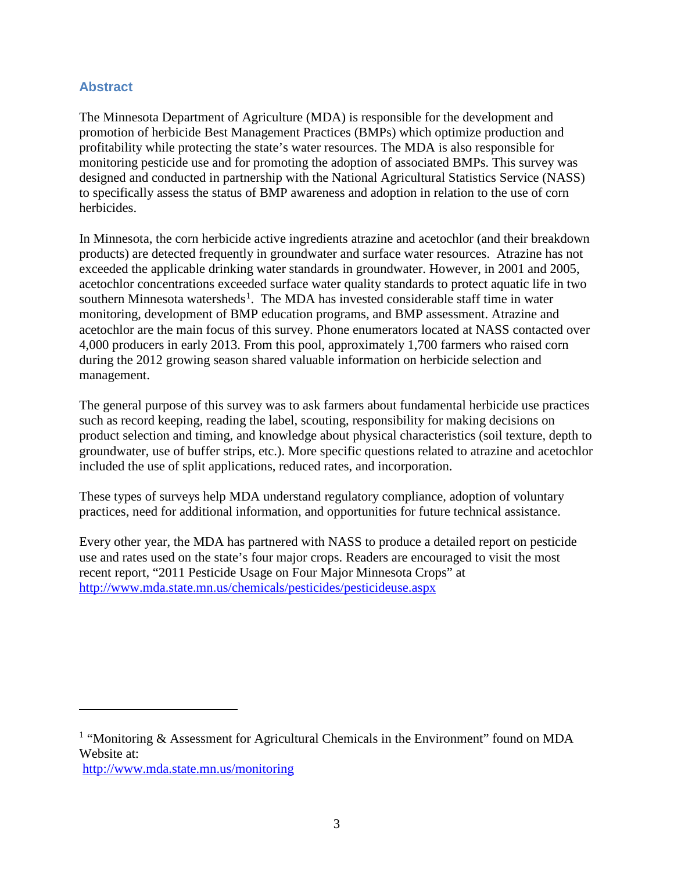#### <span id="page-3-0"></span>**Abstract**

The Minnesota Department of Agriculture (MDA) is responsible for the development and promotion of herbicide Best Management Practices (BMPs) which optimize production and profitability while protecting the state's water resources. The MDA is also responsible for monitoring pesticide use and for promoting the adoption of associated BMPs. This survey was designed and conducted in partnership with the National Agricultural Statistics Service (NASS) to specifically assess the status of BMP awareness and adoption in relation to the use of corn herbicides.

In Minnesota, the corn herbicide active ingredients atrazine and acetochlor (and their breakdown products) are detected frequently in groundwater and surface water resources. Atrazine has not exceeded the applicable drinking water standards in groundwater. However, in 2001 and 2005, acetochlor concentrations exceeded surface water quality standards to protect aquatic life in two southern Minnesota watersheds<sup>[1](#page-3-1)</sup>. The MDA has invested considerable staff time in water monitoring, development of BMP education programs, and BMP assessment. Atrazine and acetochlor are the main focus of this survey. Phone enumerators located at NASS contacted over 4,000 producers in early 2013. From this pool, approximately 1,700 farmers who raised corn during the 2012 growing season shared valuable information on herbicide selection and management.

The general purpose of this survey was to ask farmers about fundamental herbicide use practices such as record keeping, reading the label, scouting, responsibility for making decisions on product selection and timing, and knowledge about physical characteristics (soil texture, depth to groundwater, use of buffer strips, etc.). More specific questions related to atrazine and acetochlor included the use of split applications, reduced rates, and incorporation.

These types of surveys help MDA understand regulatory compliance, adoption of voluntary practices, need for additional information, and opportunities for future technical assistance.

Every other year, the MDA has partnered with NASS to produce a detailed report on pesticide use and rates used on the state's four major crops. Readers are encouraged to visit the most recent report, "2011 Pesticide Usage on Four Major Minnesota Crops" at <http://www.mda.state.mn.us/chemicals/pesticides/pesticideuse.aspx>

<http://www.mda.state.mn.us/monitoring>

 $\overline{a}$ 

<span id="page-3-1"></span><sup>&</sup>lt;sup>1</sup> "Monitoring & Assessment for Agricultural Chemicals in the Environment" found on MDA Website at: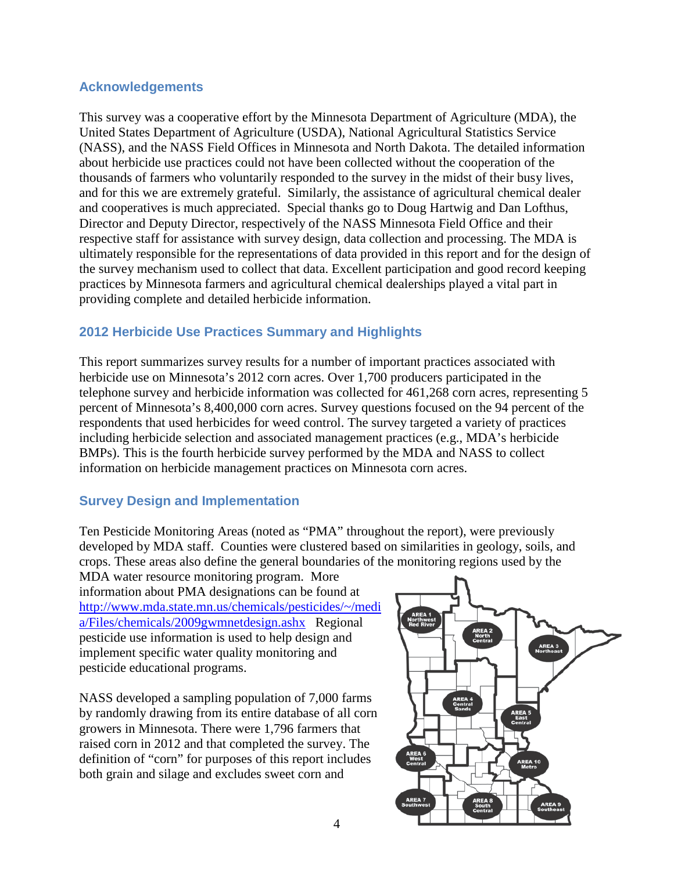#### <span id="page-4-0"></span>**Acknowledgements**

This survey was a cooperative effort by the Minnesota Department of Agriculture (MDA), the United States Department of Agriculture (USDA), National Agricultural Statistics Service (NASS), and the NASS Field Offices in Minnesota and North Dakota. The detailed information about herbicide use practices could not have been collected without the cooperation of the thousands of farmers who voluntarily responded to the survey in the midst of their busy lives, and for this we are extremely grateful. Similarly, the assistance of agricultural chemical dealer and cooperatives is much appreciated. Special thanks go to Doug Hartwig and Dan Lofthus, Director and Deputy Director, respectively of the NASS Minnesota Field Office and their respective staff for assistance with survey design, data collection and processing. The MDA is ultimately responsible for the representations of data provided in this report and for the design of the survey mechanism used to collect that data. Excellent participation and good record keeping practices by Minnesota farmers and agricultural chemical dealerships played a vital part in providing complete and detailed herbicide information.

#### <span id="page-4-1"></span>**2012 Herbicide Use Practices Summary and Highlights**

This report summarizes survey results for a number of important practices associated with herbicide use on Minnesota's 2012 corn acres. Over 1,700 producers participated in the telephone survey and herbicide information was collected for 461,268 corn acres, representing 5 percent of Minnesota's 8,400,000 corn acres. Survey questions focused on the 94 percent of the respondents that used herbicides for weed control. The survey targeted a variety of practices including herbicide selection and associated management practices (e.g., MDA's herbicide BMPs). This is the fourth herbicide survey performed by the MDA and NASS to collect information on herbicide management practices on Minnesota corn acres.

#### <span id="page-4-2"></span>**Survey Design and Implementation**

Ten Pesticide Monitoring Areas (noted as "PMA" throughout the report), were previously developed by MDA staff. Counties were clustered based on similarities in geology, soils, and crops. These areas also define the general boundaries of the monitoring regions used by the

MDA water resource monitoring program. More information about PMA designations can be found at [http://www.mda.state.mn.us/chemicals/pesticides/~/medi](http://www.mda.state.mn.us/chemicals/pesticides/%7E/media/Files/chemicals/2009gwmnetdesign.ashx) [a/Files/chemicals/2009gwmnetdesign.ashx](http://www.mda.state.mn.us/chemicals/pesticides/%7E/media/Files/chemicals/2009gwmnetdesign.ashx) Regional pesticide use information is used to help design and implement specific water quality monitoring and pesticide educational programs.

NASS developed a sampling population of 7,000 farms by randomly drawing from its entire database of all corn growers in Minnesota. There were 1,796 farmers that raised corn in 2012 and that completed the survey. The definition of "corn" for purposes of this report includes both grain and silage and excludes sweet corn and

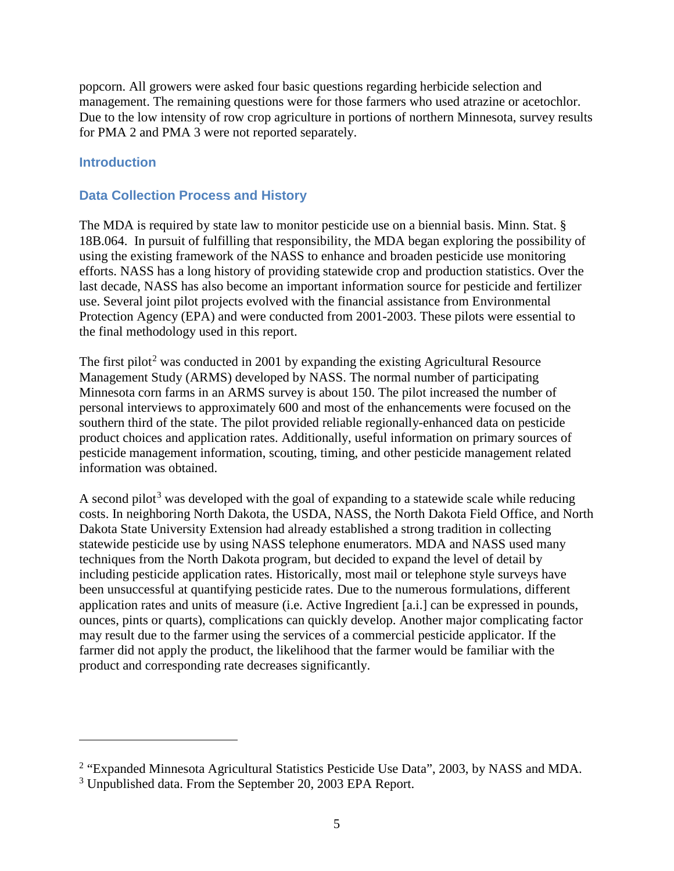popcorn. All growers were asked four basic questions regarding herbicide selection and management. The remaining questions were for those farmers who used atrazine or acetochlor. Due to the low intensity of row crop agriculture in portions of northern Minnesota, survey results for PMA 2 and PMA 3 were not reported separately.

#### <span id="page-5-0"></span>**Introduction**

 $\overline{a}$ 

#### <span id="page-5-1"></span>**Data Collection Process and History**

The MDA is required by state law to monitor pesticide use on a biennial basis. Minn. Stat. § 18B.064. In pursuit of fulfilling that responsibility, the MDA began exploring the possibility of using the existing framework of the NASS to enhance and broaden pesticide use monitoring efforts. NASS has a long history of providing statewide crop and production statistics. Over the last decade, NASS has also become an important information source for pesticide and fertilizer use. Several joint pilot projects evolved with the financial assistance from Environmental Protection Agency (EPA) and were conducted from 2001-2003. These pilots were essential to the final methodology used in this report.

The first pilot<sup>[2](#page-5-2)</sup> was conducted in 2001 by expanding the existing Agricultural Resource Management Study (ARMS) developed by NASS. The normal number of participating Minnesota corn farms in an ARMS survey is about 150. The pilot increased the number of personal interviews to approximately 600 and most of the enhancements were focused on the southern third of the state. The pilot provided reliable regionally-enhanced data on pesticide product choices and application rates. Additionally, useful information on primary sources of pesticide management information, scouting, timing, and other pesticide management related information was obtained.

A second pilot<sup>[3](#page-5-3)</sup> was developed with the goal of expanding to a statewide scale while reducing costs. In neighboring North Dakota, the USDA, NASS, the North Dakota Field Office, and North Dakota State University Extension had already established a strong tradition in collecting statewide pesticide use by using NASS telephone enumerators. MDA and NASS used many techniques from the North Dakota program, but decided to expand the level of detail by including pesticide application rates. Historically, most mail or telephone style surveys have been unsuccessful at quantifying pesticide rates. Due to the numerous formulations, different application rates and units of measure (i.e. Active Ingredient [a.i.] can be expressed in pounds, ounces, pints or quarts), complications can quickly develop. Another major complicating factor may result due to the farmer using the services of a commercial pesticide applicator. If the farmer did not apply the product, the likelihood that the farmer would be familiar with the product and corresponding rate decreases significantly.

<span id="page-5-2"></span><sup>&</sup>lt;sup>2</sup> "Expanded Minnesota Agricultural Statistics Pesticide Use Data", 2003, by NASS and MDA.

<span id="page-5-3"></span><sup>&</sup>lt;sup>3</sup> Unpublished data. From the September 20, 2003 EPA Report.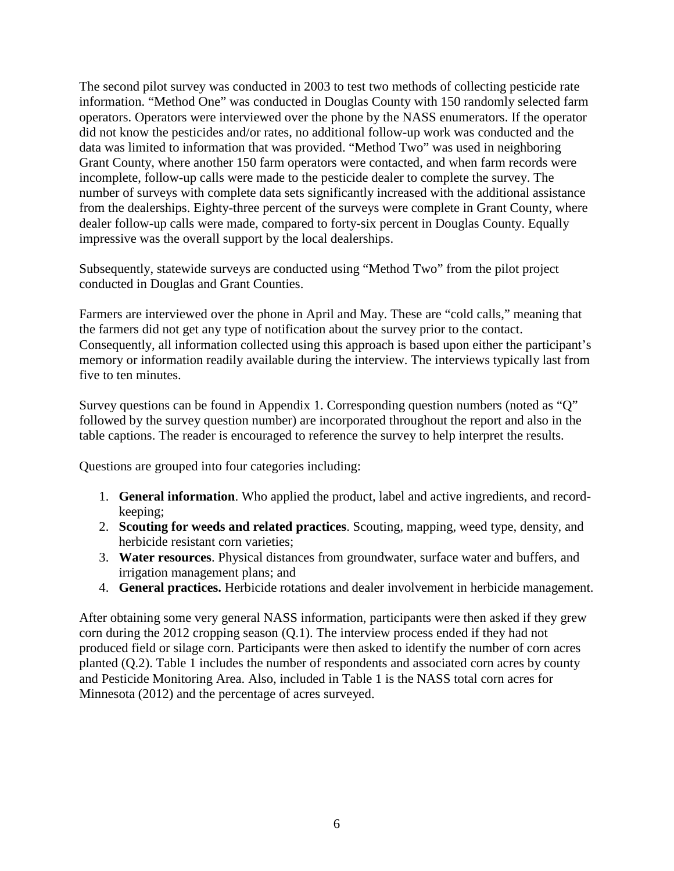The second pilot survey was conducted in 2003 to test two methods of collecting pesticide rate information. "Method One" was conducted in Douglas County with 150 randomly selected farm operators. Operators were interviewed over the phone by the NASS enumerators. If the operator did not know the pesticides and/or rates, no additional follow-up work was conducted and the data was limited to information that was provided. "Method Two" was used in neighboring Grant County, where another 150 farm operators were contacted, and when farm records were incomplete, follow-up calls were made to the pesticide dealer to complete the survey. The number of surveys with complete data sets significantly increased with the additional assistance from the dealerships. Eighty-three percent of the surveys were complete in Grant County, where dealer follow-up calls were made, compared to forty-six percent in Douglas County. Equally impressive was the overall support by the local dealerships.

Subsequently, statewide surveys are conducted using "Method Two" from the pilot project conducted in Douglas and Grant Counties.

Farmers are interviewed over the phone in April and May. These are "cold calls," meaning that the farmers did not get any type of notification about the survey prior to the contact. Consequently, all information collected using this approach is based upon either the participant's memory or information readily available during the interview. The interviews typically last from five to ten minutes.

Survey questions can be found in Appendix 1. Corresponding question numbers (noted as "Q" followed by the survey question number) are incorporated throughout the report and also in the table captions. The reader is encouraged to reference the survey to help interpret the results.

Questions are grouped into four categories including:

- 1. **General information**. Who applied the product, label and active ingredients, and recordkeeping;
- 2. **Scouting for weeds and related practices**. Scouting, mapping, weed type, density, and herbicide resistant corn varieties;
- 3. **Water resources**. Physical distances from groundwater, surface water and buffers, and irrigation management plans; and
- 4. **General practices.** Herbicide rotations and dealer involvement in herbicide management.

After obtaining some very general NASS information, participants were then asked if they grew corn during the 2012 cropping season (Q.1). The interview process ended if they had not produced field or silage corn. Participants were then asked to identify the number of corn acres planted (Q.2). Table 1 includes the number of respondents and associated corn acres by county and Pesticide Monitoring Area. Also, included in Table 1 is the NASS total corn acres for Minnesota (2012) and the percentage of acres surveyed.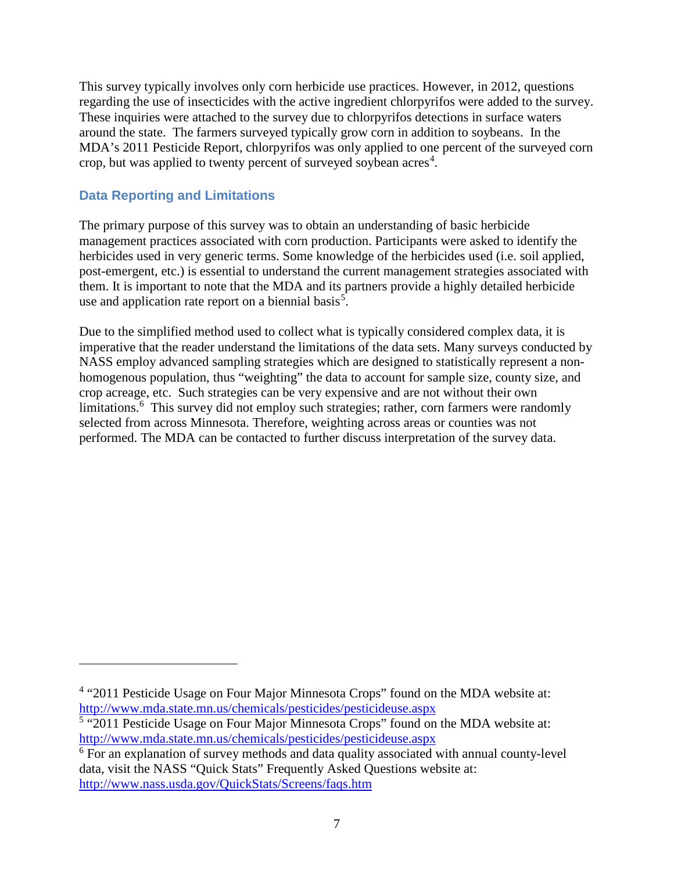This survey typically involves only corn herbicide use practices. However, in 2012, questions regarding the use of insecticides with the active ingredient chlorpyrifos were added to the survey. These inquiries were attached to the survey due to chlorpyrifos detections in surface waters around the state. The farmers surveyed typically grow corn in addition to soybeans. In the MDA's 2011 Pesticide Report, chlorpyrifos was only applied to one percent of the surveyed corn crop, but was applied to twenty percent of surveyed soybean  $\arccos^4$  $\arccos^4$ .

#### <span id="page-7-0"></span>**Data Reporting and Limitations**

 $\overline{a}$ 

The primary purpose of this survey was to obtain an understanding of basic herbicide management practices associated with corn production. Participants were asked to identify the herbicides used in very generic terms. Some knowledge of the herbicides used (i.e. soil applied, post-emergent, etc.) is essential to understand the current management strategies associated with them. It is important to note that the MDA and its partners provide a highly detailed herbicide use and application rate report on a biennial basis<sup>[5](#page-7-2)</sup>.

Due to the simplified method used to collect what is typically considered complex data, it is imperative that the reader understand the limitations of the data sets. Many surveys conducted by NASS employ advanced sampling strategies which are designed to statistically represent a nonhomogenous population, thus "weighting" the data to account for sample size, county size, and crop acreage, etc. Such strategies can be very expensive and are not without their own limitations.<sup>[6](#page-7-3)</sup> This survey did not employ such strategies; rather, corn farmers were randomly selected from across Minnesota. Therefore, weighting across areas or counties was not performed. The MDA can be contacted to further discuss interpretation of the survey data.

<span id="page-7-1"></span><sup>&</sup>lt;sup>4</sup> "2011 Pesticide Usage on Four Major Minnesota Crops" found on the MDA website at: <http://www.mda.state.mn.us/chemicals/pesticides/pesticideuse.aspx>

<span id="page-7-2"></span><sup>&</sup>lt;sup>5</sup> "2011 Pesticide Usage on Four Major Minnesota Crops" found on the MDA website at: [http://www.mda.state.mn.us/chemicals/pesticides/pesticideuse.aspx 6](http://www.mda.state.mn.us/chemicals/pesticides/pesticideuse.aspx)

<span id="page-7-3"></span><sup>&</sup>lt;sup>6</sup> For an explanation of survey methods and data quality associated with annual county-level data, visit the NASS "Quick Stats" Frequently Asked Questions website at: <http://www.nass.usda.gov/QuickStats/Screens/faqs.htm>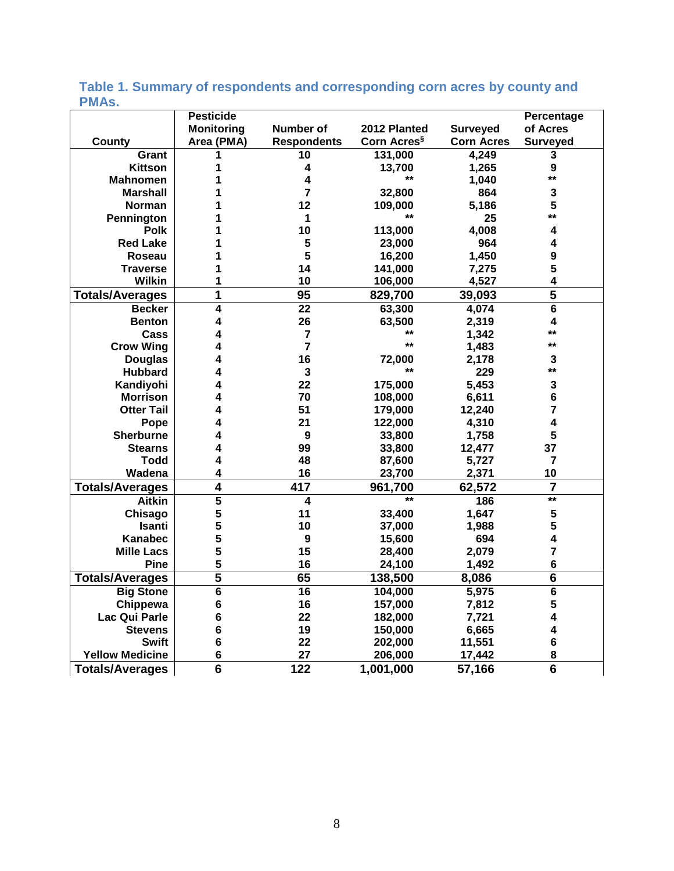#### **County Pesticide Monitoring Area (PMA) Number of Respondents 2012 Planted Corn Acres§ Surveyed Corn Acres Percentage of Acres Surveyed Grant 1 10 131,000 4,249 3 Kittson 1 4 13,700 1,265 9 Mahnomen 1 4 \*\* 1,040 \*\* Marshall 1 7 32,800 864 3 Norman 1 12 109,000 5,186 5 Pennington 1 1 1 1 1 25 \*\***<br>**Polk 1 10 113,000 4,008 4 Polk 1 10 113,000 4,008 4 Red Lake 1 5 23,000 964 4 Roseau 1 5 16,200 1,450 9 Traverse 1 14 141,000 7,275 5 Wilkin 1 10 106,000 4,527 4 Totals/Averages 1 95 829,700 39,093 5 Becker 4 22 63,300 4,074 6 Benton 4 26 63,500 2,319 4 Cass 4 7 \*\* 1,342 \*\* Crow Wing 4 7 \*\* 1,483 \*\* Douglas 4 16 72,000 2,178 3 Hubbard 4 3 \*\* 229 \*\* Kandiyohi 4 22 175,000 5,453 3 Morrison 4 70 108,000 6,611 6 Otter Tail 4 51 179,000 12,240 7 Pope 4 21 122,000 4,310 4 Sherburne 4 9 33,800 1,758 5 Stearns 4 99 33,800 12,477 37 Todd 4 48 87,600 5,727 7 Wadena 4 16 23,700 2,371 10 Totals/Averages 4 417 961,700 62,572 7 Aitkin 5 4 \*\* 186 \*\* Chisago 5 11 33,400 1,647 5 Isanti 5 10 37,000 1,988 5 Kanabec 5 9 15,600 694 4 Mille Lacs 5 15 28,400 2,079 7 Pine 5 16 24,100 1,492 6 Totals/Averages 5 65 138,500 8,086 6 Big Stone 6 16 104,000 5,975 6 Chippewa 6 16 157,000 7,812 5 Lac Qui Parle 6 22 182,000 7,721 4 Stevens 6 19 150,000 6,665 4 Swift 6 22 202,000 11,551 6 Yellow Medicine 6 27 206,000 17,442 8 Totals/Averages 6 122 1,001,000 57,166 6**

#### <span id="page-8-0"></span>**Table 1. Summary of respondents and corresponding corn acres by county and PMAs.**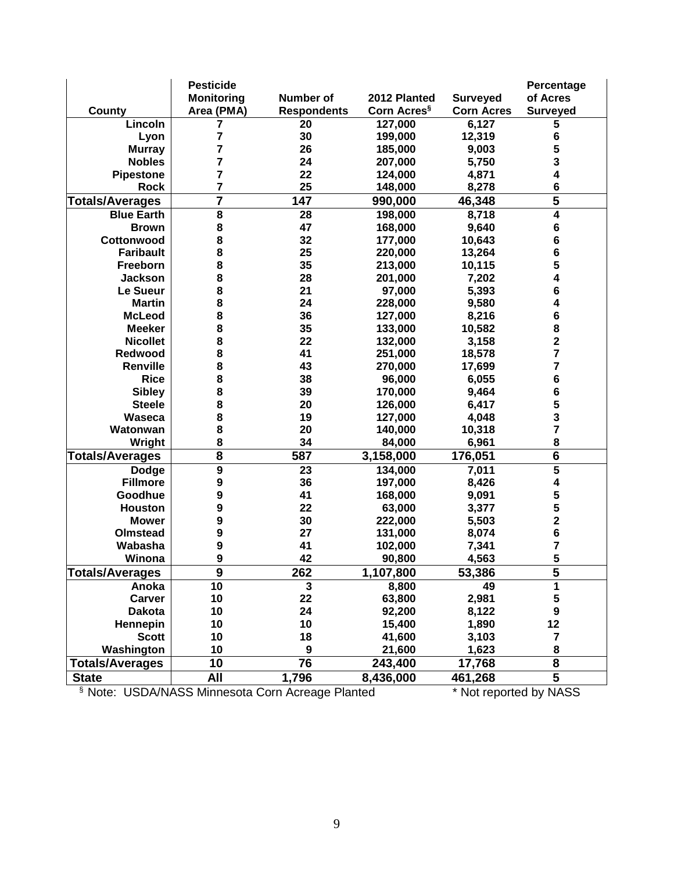|                        | <b>Pesticide</b>        |                    |                         |                   | Percentage              |
|------------------------|-------------------------|--------------------|-------------------------|-------------------|-------------------------|
|                        | <b>Monitoring</b>       | Number of          | 2012 Planted            | <b>Surveyed</b>   | of Acres                |
| County                 | Area (PMA)              | <b>Respondents</b> | Corn Acres <sup>§</sup> | <b>Corn Acres</b> | <b>Surveyed</b>         |
| Lincoln                | 7                       | 20                 | 127,000                 | 6,127             | 5                       |
| Lyon                   | 7                       | 30                 | 199,000                 | 12,319            | 6                       |
| <b>Murray</b>          | 7                       | 26                 | 185,000                 | 9,003             | 5                       |
| <b>Nobles</b>          | 7                       | 24                 | 207,000                 | 5,750             | 3                       |
| <b>Pipestone</b>       | 7                       | 22                 | 124,000                 | 4,871             | 4                       |
| <b>Rock</b>            | 7                       | 25                 | 148,000                 | 8,278             | 6                       |
| <b>Totals/Averages</b> | 7                       | 147                | 990,000                 | 46,348            | 5                       |
| <b>Blue Earth</b>      | 8                       | 28                 | 198,000                 | 8,718             | 4                       |
| <b>Brown</b>           | 8                       | 47                 | 168,000                 | 9,640             | 6                       |
| Cottonwood             | 8                       | 32                 | 177,000                 | 10,643            | 6                       |
| <b>Faribault</b>       | 8                       | 25                 | 220,000                 | 13,264            | 6                       |
| Freeborn               | 8                       | 35                 | 213,000                 | 10,115            | 5                       |
| <b>Jackson</b>         | 8                       | 28                 | 201,000                 | 7,202             | 4                       |
| Le Sueur               | 8                       | 21                 | 97,000                  | 5,393             | $\bf 6$                 |
| <b>Martin</b>          | 8                       | 24                 | 228,000                 | 9,580             | 4                       |
| <b>McLeod</b>          | 8                       | 36                 | 127,000                 | 8,216             | 6                       |
| <b>Meeker</b>          | 8                       | 35                 | 133,000                 | 10,582            | 8                       |
| <b>Nicollet</b>        | 8                       | 22                 | 132,000                 | 3,158             | $\overline{\mathbf{2}}$ |
| <b>Redwood</b>         | 8                       | 41                 | 251,000                 | 18,578            | 7                       |
| Renville               | 8                       | 43                 | 270,000                 | 17,699            | 7                       |
| <b>Rice</b>            | 8                       | 38                 | 96,000                  | 6,055             | 6                       |
| <b>Sibley</b>          | 8                       | 39                 | 170,000                 | 9,464             | 6                       |
| <b>Steele</b>          | 8                       | 20                 | 126,000                 | 6,417             | 5                       |
| Waseca                 | 8                       | 19                 | 127,000                 | 4,048             | 3                       |
| Watonwan               | 8                       | 20                 | 140,000                 | 10,318            | $\overline{7}$          |
| Wright                 | 8                       | 34                 | 84,000                  | 6,961             | 8                       |
| <b>Totals/Averages</b> | $\overline{\mathbf{8}}$ | 587                | 3,158,000               | 176,051           | $\overline{\bf{6}}$     |
| <b>Dodge</b>           | 9                       | 23                 | 134,000                 | 7,011             | 5                       |
| <b>Fillmore</b>        | 9                       | 36                 | 197,000                 | 8,426             | 4                       |
| Goodhue                | 9                       | 41                 | 168,000                 | 9,091             | 5                       |
| <b>Houston</b>         | 9                       | 22                 | 63,000                  | 3,377             | 5                       |
| <b>Mower</b>           | 9                       | 30                 | 222,000                 | 5,503             | $\overline{\mathbf{2}}$ |
| Olmstead               | 9                       | 27                 | 131,000                 | 8,074             | $\bf 6$                 |
| Wabasha                | 9                       | 41                 | 102,000                 | 7,341             | 7                       |
| Winona                 | 9                       | 42                 | 90,800                  | 4,563             | 5                       |
| <b>Totals/Averages</b> | $\overline{9}$          | 262                | 1,107,800               | 53,386            | 5                       |
| Anoka                  | 10                      | $\mathbf{3}$       | 8,800                   | 49                | 1                       |
| <b>Carver</b>          | 10                      | 22                 | 63,800                  | 2,981             | 5                       |
| <b>Dakota</b>          | 10                      | 24                 | 92,200                  | 8,122             | $\boldsymbol{9}$        |
| Hennepin               | 10                      | 10                 | 15,400                  | 1,890             | 12                      |
| <b>Scott</b>           | 10                      | 18                 | 41,600                  | 3,103             | $\overline{\mathbf{7}}$ |
| Washington             | 10                      | 9                  | 21,600                  | 1,623             | 8                       |
|                        |                         | 76                 |                         |                   |                         |
| <b>Totals/Averages</b> | 10                      |                    | 243,400                 | 17,768            | 8                       |
| <b>State</b>           | <b>All</b>              | 1,796              | 8,436,000               | 461,268           | 5                       |

§ Note: USDA/NASS Minnesota Corn Acreage Planted \* Not reported by NASS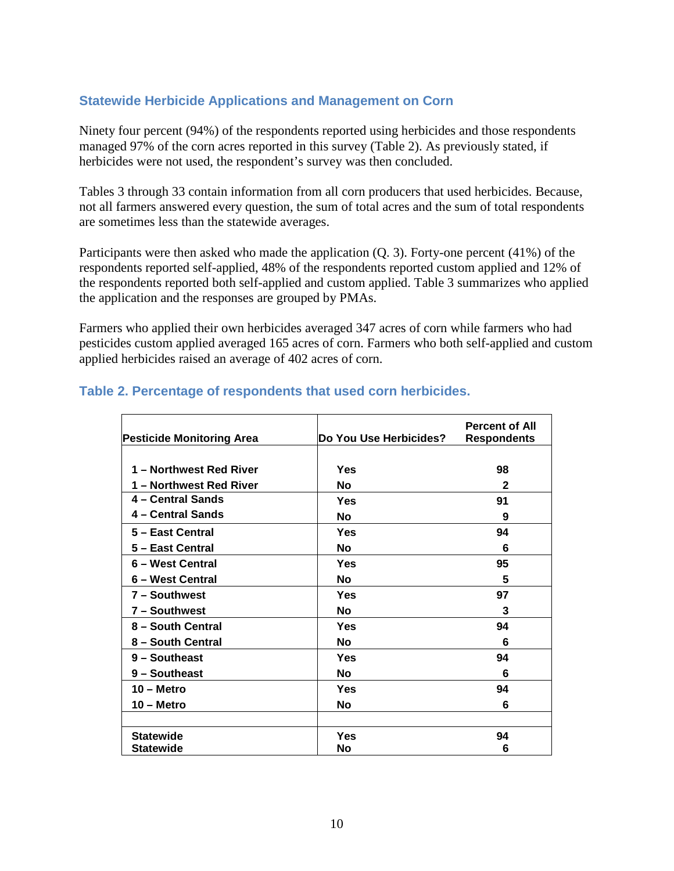#### <span id="page-10-0"></span>**Statewide Herbicide Applications and Management on Corn**

Ninety four percent (94%) of the respondents reported using herbicides and those respondents managed 97% of the corn acres reported in this survey (Table 2). As previously stated, if herbicides were not used, the respondent's survey was then concluded.

Tables 3 through 33 contain information from all corn producers that used herbicides. Because, not all farmers answered every question, the sum of total acres and the sum of total respondents are sometimes less than the statewide averages.

Participants were then asked who made the application (Q. 3). Forty-one percent (41%) of the respondents reported self-applied, 48% of the respondents reported custom applied and 12% of the respondents reported both self-applied and custom applied. Table 3 summarizes who applied the application and the responses are grouped by PMAs.

Farmers who applied their own herbicides averaged 347 acres of corn while farmers who had pesticides custom applied averaged 165 acres of corn. Farmers who both self-applied and custom applied herbicides raised an average of 402 acres of corn.

| <b>Pesticide Monitoring Area</b> | Do You Use Herbicides? | <b>Percent of All</b><br><b>Respondents</b> |
|----------------------------------|------------------------|---------------------------------------------|
|                                  |                        |                                             |
| 1 - Northwest Red River          | Yes                    | 98                                          |
| 1 - Northwest Red River          | No                     | 2                                           |
| 4 – Central Sands                | Yes                    | 91                                          |
| 4 - Central Sands                | No                     | 9                                           |
| 5 - East Central                 | Yes                    | 94                                          |
| 5 - East Central                 | Νo                     | 6                                           |
| 6 - West Central                 | Yes                    | 95                                          |
| 6 – West Central                 | No                     | 5                                           |
| 7 - Southwest                    | Yes                    | 97                                          |
| 7 - Southwest                    | No                     | 3                                           |
| 8 - South Central                | Yes                    | 94                                          |
| 8 – South Central                | Νo                     | 6                                           |
| 9 - Southeast                    | Yes                    | 94                                          |
| 9 - Southeast                    | <b>No</b>              | 6                                           |
| $10 -$ Metro                     | Yes                    | 94                                          |
| $10 -$ Metro                     | <b>No</b>              | 6                                           |
|                                  |                        |                                             |
| <b>Statewide</b>                 | Yes                    | 94                                          |
| <b>Statewide</b>                 | No                     | 6                                           |

#### <span id="page-10-1"></span>**Table 2. Percentage of respondents that used corn herbicides.**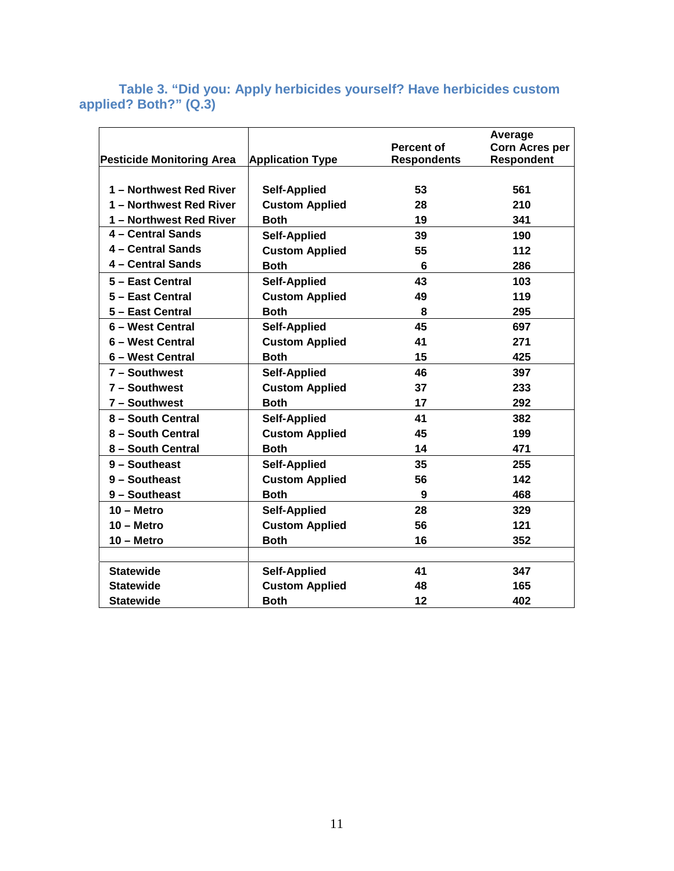<span id="page-11-0"></span>**Table 3. "Did you: Apply herbicides yourself? Have herbicides custom applied? Both?" (Q.3)**

|                                  |                         |                    | Average               |
|----------------------------------|-------------------------|--------------------|-----------------------|
|                                  |                         | <b>Percent of</b>  | <b>Corn Acres per</b> |
| <b>Pesticide Monitoring Area</b> | <b>Application Type</b> | <b>Respondents</b> | <b>Respondent</b>     |
|                                  |                         |                    |                       |
| 1 - Northwest Red River          | <b>Self-Applied</b>     | 53                 | 561                   |
| 1 - Northwest Red River          | <b>Custom Applied</b>   | 28                 | 210                   |
| 1 - Northwest Red River          | <b>Both</b>             | 19                 | 341                   |
| 4 - Central Sands                | <b>Self-Applied</b>     | 39                 | 190                   |
| 4 - Central Sands                | <b>Custom Applied</b>   | 55                 | 112                   |
| 4 - Central Sands                | <b>Both</b>             | 6                  | 286                   |
| 5 - East Central                 | <b>Self-Applied</b>     | 43                 | 103                   |
| 5 - East Central                 | <b>Custom Applied</b>   | 49                 | 119                   |
| 5 - East Central                 | <b>Both</b>             | 8                  | 295                   |
| 6 - West Central                 | <b>Self-Applied</b>     | 45                 | 697                   |
| 6 - West Central                 | <b>Custom Applied</b>   | 41                 | 271                   |
| 6 - West Central                 | <b>Both</b>             | 15                 | 425                   |
| 7 - Southwest                    | <b>Self-Applied</b>     | 46                 | 397                   |
| 7 - Southwest                    | <b>Custom Applied</b>   | 37                 | 233                   |
| 7 - Southwest                    | <b>Both</b>             | 17                 | 292                   |
| 8 - South Central                | <b>Self-Applied</b>     | 41                 | 382                   |
| 8 - South Central                | <b>Custom Applied</b>   | 45                 | 199                   |
| 8 - South Central                | <b>Both</b>             | 14                 | 471                   |
| 9 - Southeast                    | <b>Self-Applied</b>     | 35                 | 255                   |
| 9 - Southeast                    | <b>Custom Applied</b>   | 56                 | 142                   |
| 9 - Southeast                    | <b>Both</b>             | 9                  | 468                   |
| $10 -$ Metro                     | <b>Self-Applied</b>     | 28                 | 329                   |
| $10 -$ Metro                     | <b>Custom Applied</b>   | 56                 | 121                   |
| $10 -$ Metro                     | <b>Both</b>             | 16                 | 352                   |
|                                  |                         |                    |                       |
| <b>Statewide</b>                 | <b>Self-Applied</b>     | 41                 | 347                   |
| <b>Statewide</b>                 | <b>Custom Applied</b>   | 48                 | 165                   |
| <b>Statewide</b>                 | <b>Both</b>             | 12                 | 402                   |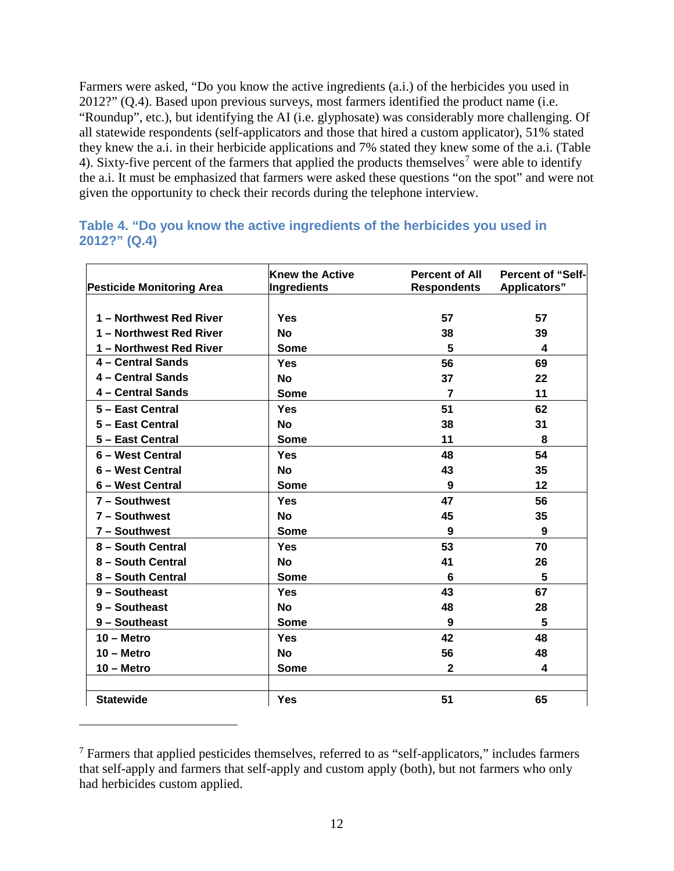Farmers were asked, "Do you know the active ingredients (a.i.) of the herbicides you used in 2012?" (Q.4). Based upon previous surveys, most farmers identified the product name (i.e. "Roundup", etc.), but identifying the AI (i.e. glyphosate) was considerably more challenging. Of all statewide respondents (self-applicators and those that hired a custom applicator), 51% stated they knew the a.i. in their herbicide applications and 7% stated they knew some of the a.i. (Table 4). Sixty-five percent of the farmers that applied the products themselves<sup>[7](#page-12-1)</sup> were able to identify the a.i. It must be emphasized that farmers were asked these questions "on the spot" and were not given the opportunity to check their records during the telephone interview.

<span id="page-12-0"></span>

|              |  |  | Table 4. "Do you know the active ingredients of the herbicides you used in |
|--------------|--|--|----------------------------------------------------------------------------|
| 2012?" (Q.4) |  |  |                                                                            |

| <b>Pesticide Monitoring Area</b> | <b>Knew the Active</b><br><b>Ingredients</b> | <b>Percent of All</b><br><b>Respondents</b> | <b>Percent of "Self-</b><br><b>Applicators"</b> |
|----------------------------------|----------------------------------------------|---------------------------------------------|-------------------------------------------------|
|                                  |                                              |                                             |                                                 |
| 1 - Northwest Red River          | Yes                                          | 57                                          | 57                                              |
| 1 - Northwest Red River          | <b>No</b>                                    | 38                                          | 39                                              |
| 1 - Northwest Red River          | <b>Some</b>                                  | 5                                           | 4                                               |
| 4 - Central Sands                | Yes                                          | 56                                          | 69                                              |
| 4 - Central Sands                | <b>No</b>                                    | 37                                          | 22                                              |
| 4 - Central Sands                | <b>Some</b>                                  | $\overline{7}$                              | 11                                              |
| 5 - East Central                 | Yes                                          | 51                                          | 62                                              |
| 5 - East Central                 | <b>No</b>                                    | 38                                          | 31                                              |
| 5 - East Central                 | <b>Some</b>                                  | 11                                          | 8                                               |
| 6 - West Central                 | Yes                                          | 48                                          | 54                                              |
| 6 - West Central                 | <b>No</b>                                    | 43                                          | 35                                              |
| 6 - West Central                 | <b>Some</b>                                  | 9                                           | 12                                              |
| 7 - Southwest                    | Yes                                          | 47                                          | 56                                              |
| 7 - Southwest                    | <b>No</b>                                    | 45                                          | 35                                              |
| 7 - Southwest                    | Some                                         | 9                                           | 9                                               |
| 8 - South Central                | Yes                                          | 53                                          | 70                                              |
| 8 - South Central                | <b>No</b>                                    | 41                                          | 26                                              |
| 8 - South Central                | <b>Some</b>                                  | 6                                           | 5                                               |
| 9 - Southeast                    | Yes                                          | 43                                          | 67                                              |
| 9 - Southeast                    | No                                           | 48                                          | 28                                              |
| 9 - Southeast                    | <b>Some</b>                                  | 9                                           | 5                                               |
| $10 -$ Metro                     | Yes                                          | 42                                          | 48                                              |
| $10 -$ Metro                     | <b>No</b>                                    | 56                                          | 48                                              |
| $10 -$ Metro                     | <b>Some</b>                                  | $\mathbf{2}$                                | 4                                               |
|                                  |                                              |                                             |                                                 |
| <b>Statewide</b>                 | <b>Yes</b>                                   | 51                                          | 65                                              |

<span id="page-12-1"></span><sup>7</sup> Farmers that applied pesticides themselves, referred to as "self-applicators," includes farmers that self-apply and farmers that self-apply and custom apply (both), but not farmers who only had herbicides custom applied.

 $\overline{a}$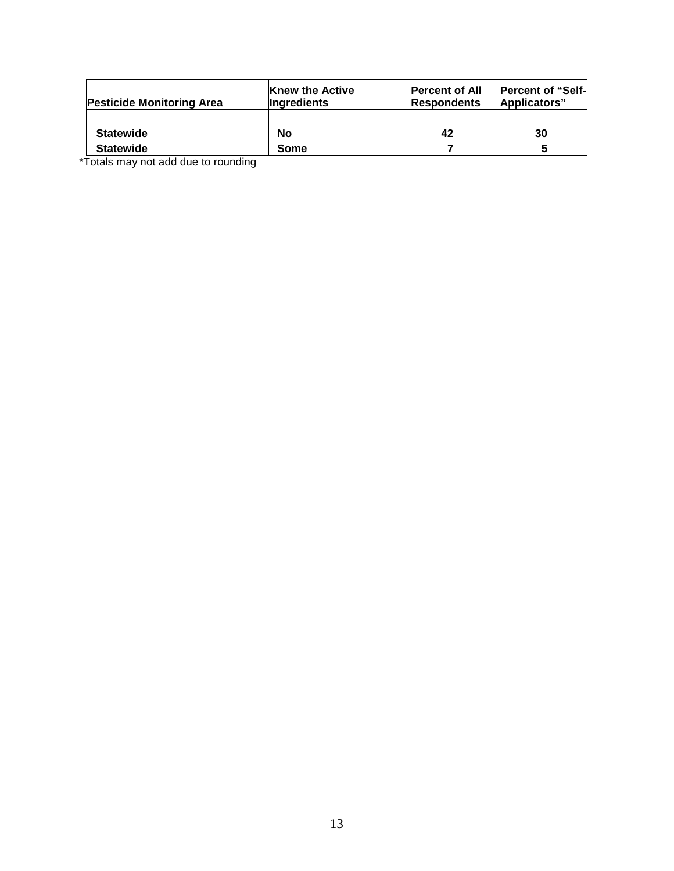| <b>Pesticide Monitoring Area</b> | <b>Knew the Active</b><br><b>Ingredients</b> | <b>Percent of All</b><br><b>Respondents</b> | <b>Percent of "Self-</b><br>Applicators" |
|----------------------------------|----------------------------------------------|---------------------------------------------|------------------------------------------|
| <b>Statewide</b>                 | <b>No</b>                                    | 42                                          | 30                                       |
| <b>Statewide</b>                 | Some                                         |                                             | 5                                        |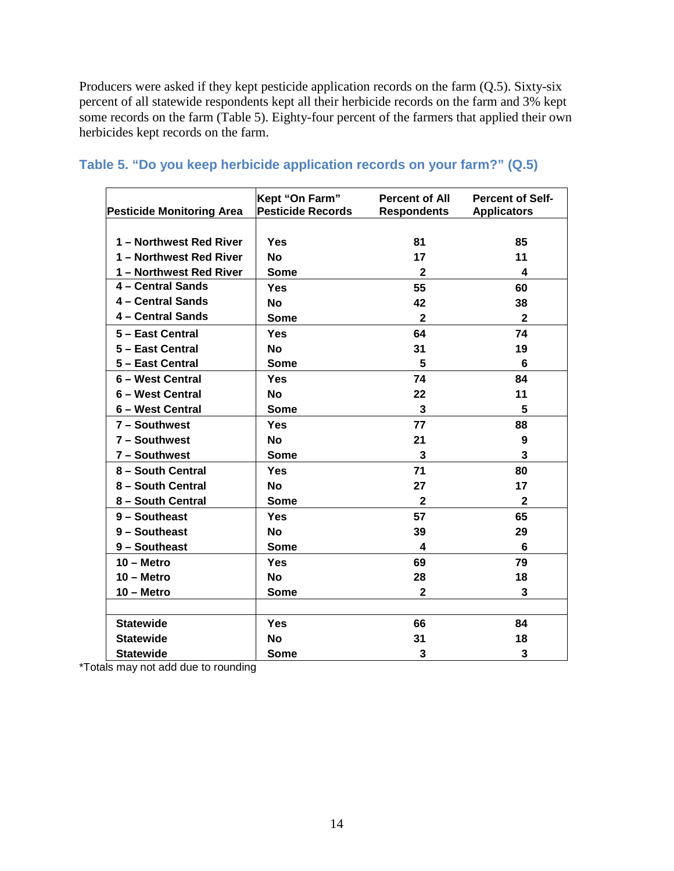Producers were asked if they kept pesticide application records on the farm (Q.5). Sixty-six percent of all statewide respondents kept all their herbicide records on the farm and 3% kept some records on the farm (Table 5). Eighty-four percent of the farmers that applied their own herbicides kept records on the farm.

| <b>Pesticide Monitoring Area</b> | Kept "On Farm"<br><b>Pesticide Records</b> | <b>Percent of All</b><br><b>Respondents</b> | <b>Percent of Self-</b><br><b>Applicators</b> |
|----------------------------------|--------------------------------------------|---------------------------------------------|-----------------------------------------------|
|                                  |                                            |                                             |                                               |
| 1 - Northwest Red River          | Yes                                        | 81                                          | 85                                            |
| 1 - Northwest Red River          | <b>No</b>                                  | 17                                          | 11                                            |
| 1 - Northwest Red River          | <b>Some</b>                                | $\mathbf{2}$                                | 4                                             |
| 4 - Central Sands                | Yes                                        | 55                                          | 60                                            |
| 4 - Central Sands                | <b>No</b>                                  | 42                                          | 38                                            |
| 4 - Central Sands                | <b>Some</b>                                | $\mathbf{2}$                                | $\mathbf{2}$                                  |
| 5 - East Central                 | Yes                                        | 64                                          | 74                                            |
| 5 - East Central                 | <b>No</b>                                  | 31                                          | 19                                            |
| 5 - East Central                 | <b>Some</b>                                | 5                                           | 6                                             |
| 6 - West Central                 | Yes                                        | 74                                          | 84                                            |
| 6 - West Central                 | <b>No</b>                                  | 22                                          | 11                                            |
| 6 - West Central                 | <b>Some</b>                                | 3                                           | 5                                             |
| 7 - Southwest                    | Yes                                        | 77                                          | 88                                            |
| 7 - Southwest                    | <b>No</b>                                  | 21                                          | 9                                             |
| 7 - Southwest                    | <b>Some</b>                                | 3                                           | 3                                             |
| 8 - South Central                | Yes                                        | 71                                          | 80                                            |
| 8 - South Central                | <b>No</b>                                  | 27                                          | 17                                            |
| 8 - South Central                | <b>Some</b>                                | $\mathbf{2}$                                | $\mathbf{2}$                                  |
| 9 - Southeast                    | Yes                                        | 57                                          | 65                                            |
| 9 - Southeast                    | <b>No</b>                                  | 39                                          | 29                                            |
| 9 - Southeast                    | <b>Some</b>                                | 4                                           | 6                                             |
| $10 -$ Metro                     | Yes                                        | 69                                          | 79                                            |
| $10 -$ Metro                     | <b>No</b>                                  | 28                                          | 18                                            |
| 10 – Metro                       | <b>Some</b>                                | $\mathbf{2}$                                | 3                                             |
|                                  |                                            |                                             |                                               |
| <b>Statewide</b>                 | Yes                                        | 66                                          | 84                                            |
| <b>Statewide</b>                 | <b>No</b>                                  | 31                                          | 18                                            |
| <b>Statewide</b>                 | <b>Some</b>                                | 3                                           | 3                                             |

#### <span id="page-14-0"></span>**Table 5. "Do you keep herbicide application records on your farm?" (Q.5)**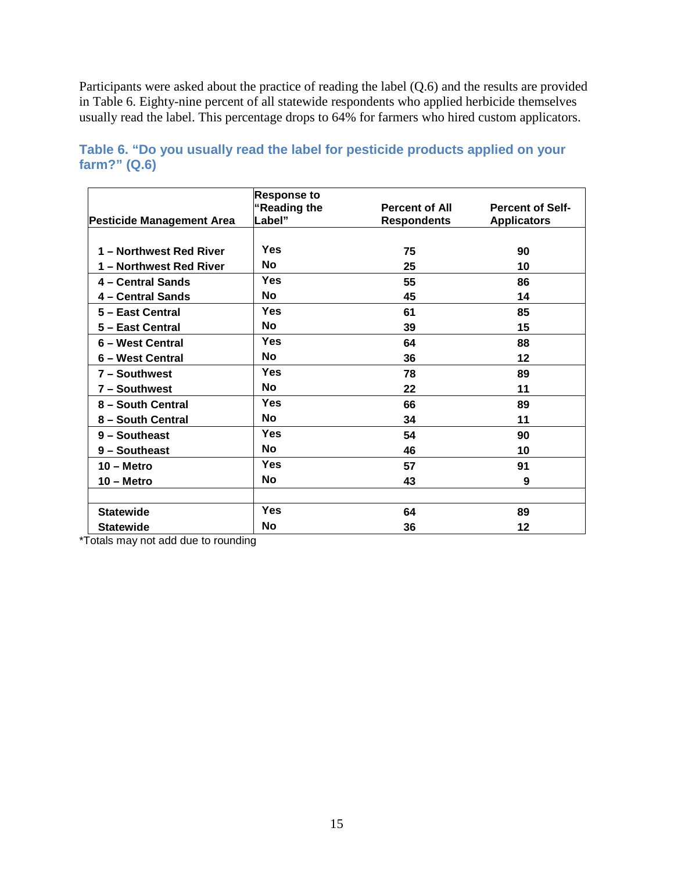Participants were asked about the practice of reading the label (Q.6) and the results are provided in Table 6. Eighty-nine percent of all statewide respondents who applied herbicide themselves usually read the label. This percentage drops to 64% for farmers who hired custom applicators.

|                                  | <b>Response to</b><br>"Reading the | <b>Percent of All</b> | <b>Percent of Self-</b> |
|----------------------------------|------------------------------------|-----------------------|-------------------------|
| <b>Pesticide Management Area</b> | Label"                             | <b>Respondents</b>    | <b>Applicators</b>      |
|                                  |                                    |                       |                         |
| 1 - Northwest Red River          | Yes                                | 75                    | 90                      |
| 1 – Northwest Red River          | <b>No</b>                          | 25                    | 10                      |
| 4 - Central Sands                | <b>Yes</b>                         | 55                    | 86                      |
| 4 - Central Sands                | <b>No</b>                          | 45                    | 14                      |
| 5 - East Central                 | Yes                                | 61                    | 85                      |
| 5 - East Central                 | <b>No</b>                          | 39                    | 15                      |
| 6 - West Central                 | <b>Yes</b>                         | 64                    | 88                      |
| 6 - West Central                 | <b>No</b>                          | 36                    | 12                      |
| 7 - Southwest                    | <b>Yes</b>                         | 78                    | 89                      |
| 7 - Southwest                    | <b>No</b>                          | 22                    | 11                      |
| 8 - South Central                | Yes                                | 66                    | 89                      |
| 8 - South Central                | <b>No</b>                          | 34                    | 11                      |
| 9 - Southeast                    | Yes                                | 54                    | 90                      |
| 9 - Southeast                    | <b>No</b>                          | 46                    | 10                      |
| $10 -$ Metro                     | <b>Yes</b>                         | 57                    | 91                      |
| $10 -$ Metro                     | <b>No</b>                          | 43                    | 9                       |
|                                  |                                    |                       |                         |
| <b>Statewide</b>                 | <b>Yes</b>                         | 64                    | 89                      |
| <b>Statewide</b>                 | <b>No</b>                          | 36                    | 12                      |

<span id="page-15-0"></span>**Table 6. "Do you usually read the label for pesticide products applied on your farm?" (Q.6)**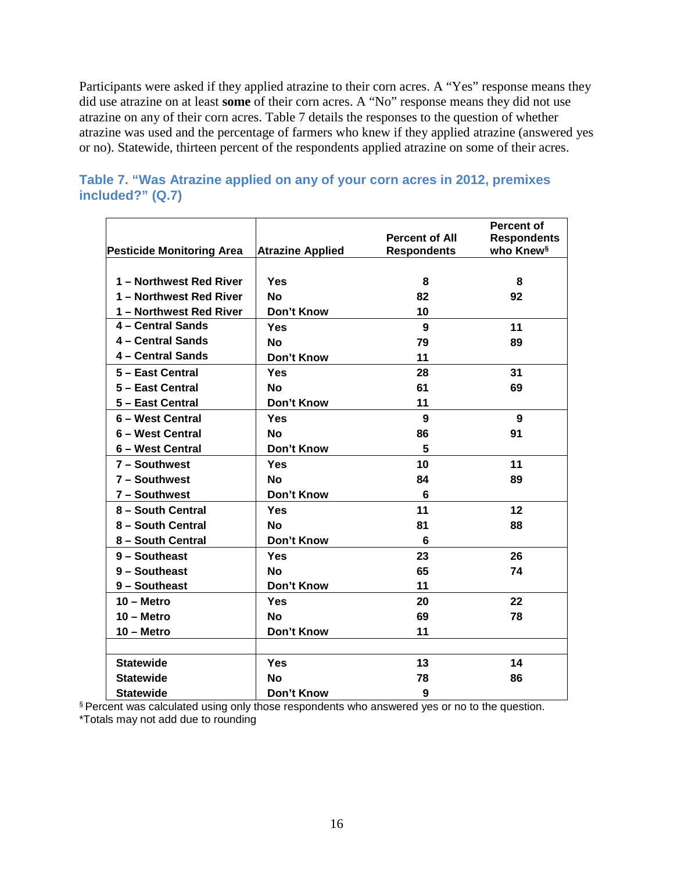Participants were asked if they applied atrazine to their corn acres. A "Yes" response means they did use atrazine on at least **some** of their corn acres. A "No" response means they did not use atrazine on any of their corn acres. Table 7 details the responses to the question of whether atrazine was used and the percentage of farmers who knew if they applied atrazine (answered yes or no). Statewide, thirteen percent of the respondents applied atrazine on some of their acres.

|                                  |                         |                       | <b>Percent of</b>     |
|----------------------------------|-------------------------|-----------------------|-----------------------|
|                                  |                         | <b>Percent of All</b> | <b>Respondents</b>    |
| <b>Pesticide Monitoring Area</b> | <b>Atrazine Applied</b> | <b>Respondents</b>    | who Knew <sup>§</sup> |
|                                  |                         |                       |                       |
| 1 - Northwest Red River          | Yes                     | 8                     | 8                     |
| 1 - Northwest Red River          | <b>No</b>               | 82                    | 92                    |
| 1 - Northwest Red River          | Don't Know              | 10                    |                       |
| 4 - Central Sands                | Yes                     | 9                     | 11                    |
| 4 - Central Sands                | <b>No</b>               | 79                    | 89                    |
| 4 - Central Sands                | <b>Don't Know</b>       | 11                    |                       |
| 5 - East Central                 | Yes                     | 28                    | 31                    |
| 5 - East Central                 | <b>No</b>               | 61                    | 69                    |
| 5 - East Central                 | Don't Know              | 11                    |                       |
| 6 - West Central                 | Yes                     | 9                     | 9                     |
| 6 - West Central                 | <b>No</b>               | 86                    | 91                    |
| 6 - West Central                 | Don't Know              | 5                     |                       |
| 7 - Southwest                    | Yes                     | 10                    | 11                    |
| 7 - Southwest                    | <b>No</b>               | 84                    | 89                    |
| 7 - Southwest                    | Don't Know              | 6                     |                       |
| 8 - South Central                | Yes                     | 11                    | 12                    |
| 8 - South Central                | <b>No</b>               | 81                    | 88                    |
| 8 - South Central                | Don't Know              | 6                     |                       |
| 9 - Southeast                    | Yes                     | 23                    | 26                    |
| 9 - Southeast                    | <b>No</b>               | 65                    | 74                    |
| 9 - Southeast                    | Don't Know              | 11                    |                       |
| $10 -$ Metro                     | Yes                     | 20                    | 22                    |
| $10 -$ Metro                     | <b>No</b>               | 69                    | 78                    |
| $10 -$ Metro                     | Don't Know              | 11                    |                       |
|                                  |                         |                       |                       |
| <b>Statewide</b>                 | <b>Yes</b>              | 13                    | 14                    |
| <b>Statewide</b>                 | Nο                      | 78                    | 86                    |
| <b>Statewide</b>                 | Don't Know              | 9                     |                       |

#### <span id="page-16-0"></span>**Table 7. "Was Atrazine applied on any of your corn acres in 2012, premixes included?" (Q.7)**

§ Percent was calculated using only those respondents who answered yes or no to the question. \*Totals may not add due to rounding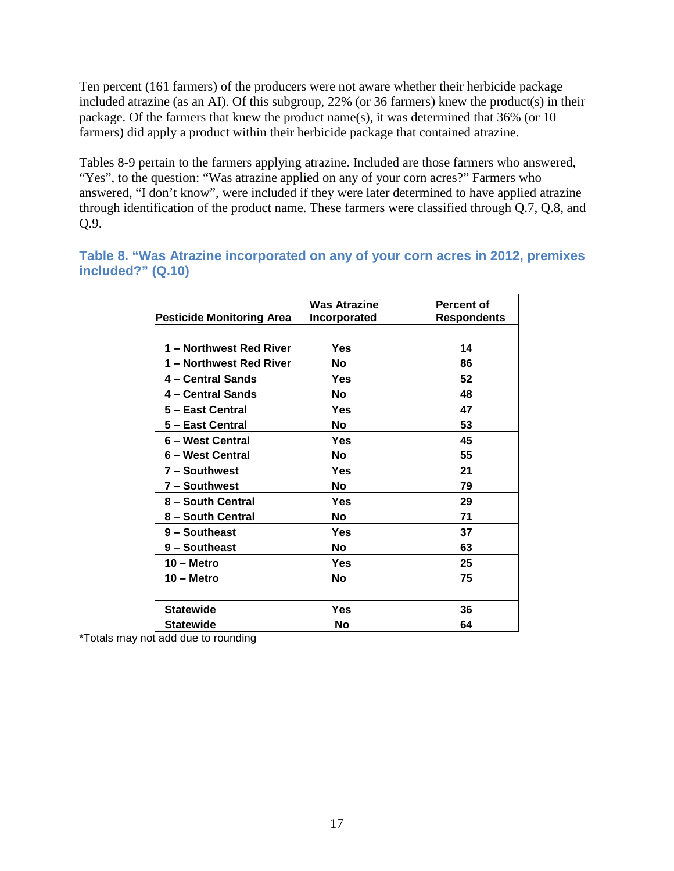Ten percent (161 farmers) of the producers were not aware whether their herbicide package included atrazine (as an AI). Of this subgroup, 22% (or 36 farmers) knew the product(s) in their package. Of the farmers that knew the product name(s), it was determined that 36% (or 10 farmers) did apply a product within their herbicide package that contained atrazine.

Tables 8-9 pertain to the farmers applying atrazine. Included are those farmers who answered, "Yes", to the question: "Was atrazine applied on any of your corn acres?" Farmers who answered, "I don't know", were included if they were later determined to have applied atrazine through identification of the product name. These farmers were classified through Q.7, Q.8, and Q.9.

<span id="page-17-0"></span>**Table 8. "Was Atrazine incorporated on any of your corn acres in 2012, premixes included?" (Q.10)** 

|                                  | Was Atrazine | Percent of         |
|----------------------------------|--------------|--------------------|
| <b>Pesticide Monitoring Area</b> | Incorporated | <b>Respondents</b> |
|                                  |              |                    |
| 1 – Northwest Red River          | Yes          | 14                 |
| 1 – Northwest Red River          | Νo           | 86                 |
| 4 – Central Sands                | Yes          | 52                 |
| 4 – Central Sands                | Νo           | 48                 |
| 5 – East Central                 | Yes          | 47                 |
| 5 – East Central                 | No           | 53                 |
| 6 – West Central                 | Yes          | 45                 |
| 6 – West Central                 | Nο           | 55                 |
| 7 - Southwest                    | Yes          | 21                 |
| 7 - Southwest                    | No           | 79                 |
| 8 - South Central                | Yes          | 29                 |
| 8 - South Central                | No           | 71                 |
| 9 - Southeast                    | Yes          | 37                 |
| 9 - Southeast                    | No           | 63                 |
| $10 -$ Metro                     | Yes          | 25                 |
| $10 -$ Metro                     | No           | 75                 |
|                                  |              |                    |
| <b>Statewide</b>                 | Yes          | 36                 |
| <b>Statewide</b>                 | No           | 64                 |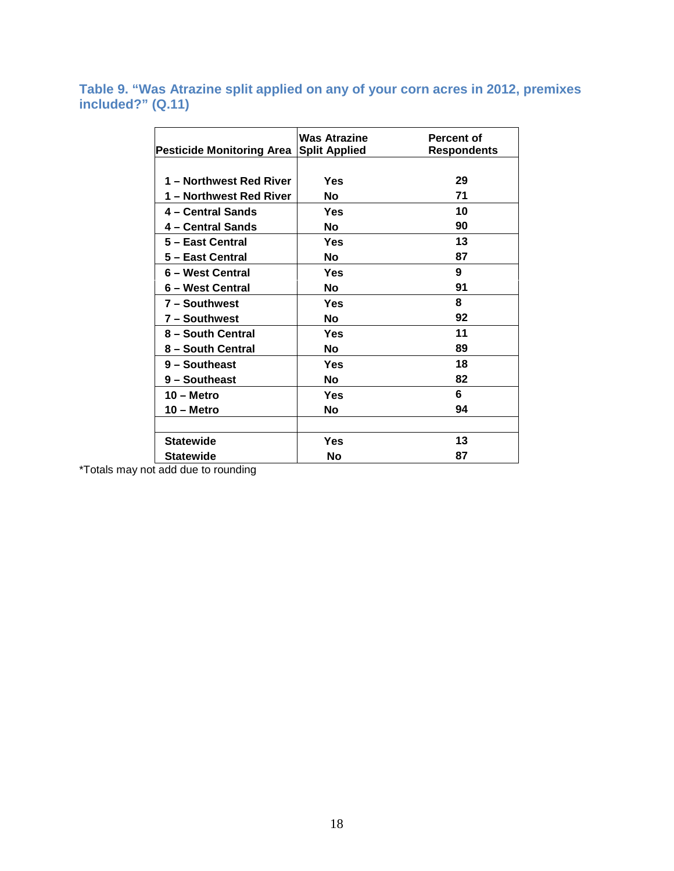<span id="page-18-0"></span>**Table 9. "Was Atrazine split applied on any of your corn acres in 2012, premixes included?" (Q.11)** 

| <b>Pesticide Monitoring Area</b> | <b>Was Atrazine</b><br><b>Split Applied</b> | <b>Percent of</b><br><b>Respondents</b> |
|----------------------------------|---------------------------------------------|-----------------------------------------|
|                                  |                                             |                                         |
| 1 – Northwest Red River          | Yes                                         | 29                                      |
| 1 – Northwest Red River          | <b>No</b>                                   | 71                                      |
| 4 - Central Sands                | Yes                                         | 10                                      |
| 4 – Central Sands                | No                                          | 90                                      |
| 5 - East Central                 | Yes                                         | 13                                      |
| 5 - East Central                 | Nο                                          | 87                                      |
| 6 – West Central                 | Yes                                         | 9                                       |
| 6 – West Central                 | No                                          | 91                                      |
| 7 - Southwest                    | Yes                                         | 8                                       |
| 7 - Southwest                    | No                                          | 92                                      |
| 8 - South Central                | Yes                                         | 11                                      |
| 8 – South Central                | No                                          | 89                                      |
| 9 - Southeast                    | Yes                                         | 18                                      |
| 9 - Southeast                    | No                                          | 82                                      |
| 10 – Metro                       | Yes                                         | 6                                       |
| 10 – Metro                       | Nο                                          | 94                                      |
|                                  |                                             |                                         |
| <b>Statewide</b>                 | Yes                                         | 13                                      |
| <b>Statewide</b>                 | No                                          | 87                                      |
|                                  |                                             |                                         |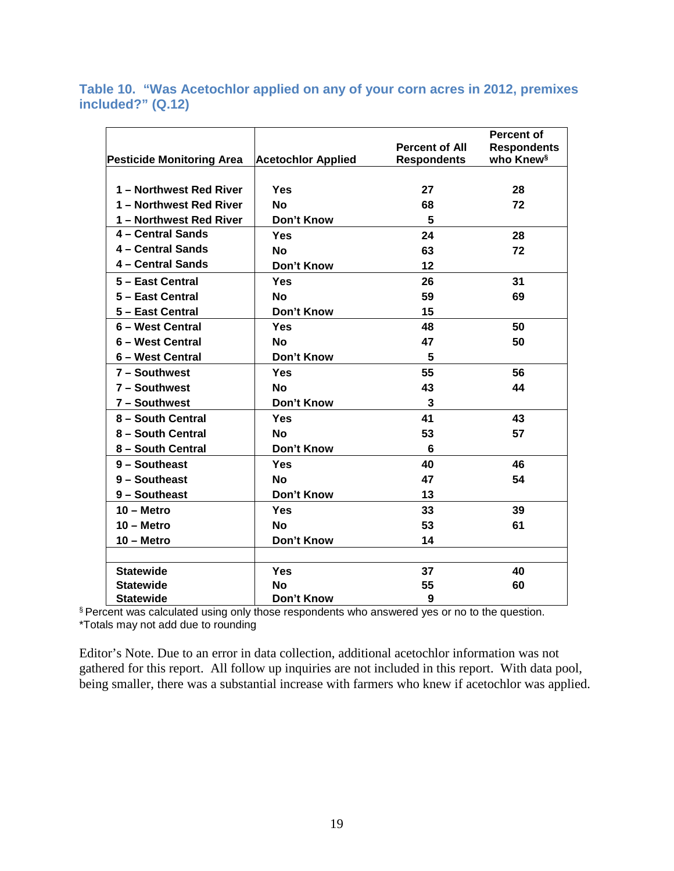<span id="page-19-0"></span>**Table 10. "Was Acetochlor applied on any of your corn acres in 2012, premixes included?" (Q.12)** 

|                                  |                           |                       | <b>Percent of</b>     |
|----------------------------------|---------------------------|-----------------------|-----------------------|
|                                  |                           | <b>Percent of All</b> | <b>Respondents</b>    |
| <b>Pesticide Monitoring Area</b> | <b>Acetochlor Applied</b> | <b>Respondents</b>    | who Knew <sup>§</sup> |
|                                  |                           |                       |                       |
| 1 - Northwest Red River          | Yes                       | 27                    | 28                    |
| 1 - Northwest Red River          | <b>No</b>                 | 68                    | 72                    |
| 1 - Northwest Red River          | <b>Don't Know</b>         | 5                     |                       |
| 4 - Central Sands                | Yes                       | 24                    | 28                    |
| 4 - Central Sands                | <b>No</b>                 | 63                    | 72                    |
| 4 - Central Sands                | Don't Know                | 12                    |                       |
| 5 - East Central                 | <b>Yes</b>                | 26                    | 31                    |
| 5 - East Central                 | <b>No</b>                 | 59                    | 69                    |
| 5 - East Central                 | <b>Don't Know</b>         | 15                    |                       |
| 6 - West Central                 | Yes                       | 48                    | 50                    |
| 6 - West Central                 | <b>No</b>                 | 47                    | 50                    |
| 6 - West Central                 | Don't Know                | 5                     |                       |
| 7 - Southwest                    | Yes                       | 55                    | 56                    |
| 7 - Southwest                    | <b>No</b>                 | 43                    | 44                    |
| 7 - Southwest                    | Don't Know                | 3                     |                       |
| 8 - South Central                | Yes                       | 41                    | 43                    |
| 8 - South Central                | <b>No</b>                 | 53                    | 57                    |
| 8 - South Central                | Don't Know                | 6                     |                       |
| $9 -$ Southeast                  | Yes                       | 40                    | 46                    |
| 9 - Southeast                    | <b>No</b>                 | 47                    | 54                    |
| 9 - Southeast                    | Don't Know                | 13                    |                       |
| $10 -$ Metro                     | <b>Yes</b>                | 33                    | 39                    |
| $10 -$ Metro                     | <b>No</b>                 | 53                    | 61                    |
| $10 -$ Metro                     | Don't Know                | 14                    |                       |
|                                  |                           |                       |                       |
| <b>Statewide</b>                 | Yes                       | 37                    | 40                    |
| <b>Statewide</b>                 | <b>No</b>                 | 55                    | 60                    |
| <b>Statewide</b>                 | Don't Know                | 9                     |                       |

 $§$  Percent was calculated using only those respondents who answered yes or no to the question. \*Totals may not add due to rounding

Editor's Note. Due to an error in data collection, additional acetochlor information was not gathered for this report. All follow up inquiries are not included in this report. With data pool, being smaller, there was a substantial increase with farmers who knew if acetochlor was applied.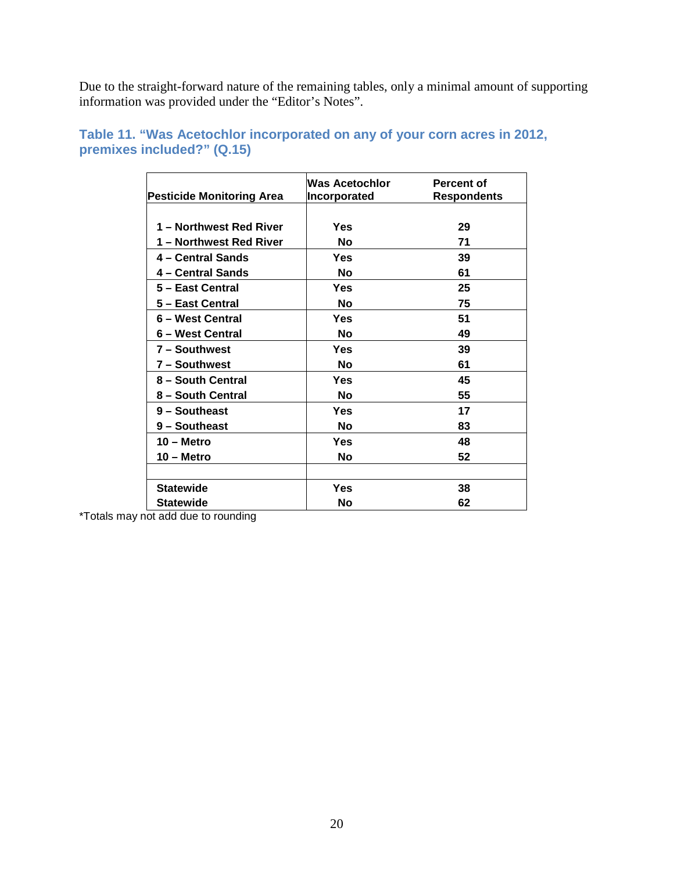Due to the straight-forward nature of the remaining tables, only a minimal amount of supporting information was provided under the "Editor's Notes".

| <b>Pesticide Monitoring Area</b> | Was Acetochlor<br><b>Incorporated</b> | <b>Percent of</b><br><b>Respondents</b> |
|----------------------------------|---------------------------------------|-----------------------------------------|
|                                  |                                       |                                         |
| 1 - Northwest Red River          | Yes                                   | 29                                      |
| 1 – Northwest Red River          | Nο                                    | 71                                      |
| 4 – Central Sands                | Yes                                   | 39                                      |
| 4 – Central Sands                | No                                    | 61                                      |
| 5 - East Central                 | Yes                                   | 25                                      |
| 5 - East Central                 | No                                    | 75                                      |
| 6 - West Central                 | Yes                                   | 51                                      |
| 6 – West Central                 | No                                    | 49                                      |
| 7 - Southwest                    | Yes                                   | 39                                      |
| 7 - Southwest                    | No                                    | 61                                      |
| 8 - South Central                | Yes                                   | 45                                      |
| 8 - South Central                | No                                    | 55                                      |
| 9 - Southeast                    | Yes                                   | 17                                      |
| 9 - Southeast                    | No                                    | 83                                      |
| 10 – Metro                       | Yes                                   | 48                                      |
| 10 – Metro                       | No                                    | 52                                      |
|                                  |                                       |                                         |
| <b>Statewide</b>                 | Yes                                   | 38                                      |
| Statewide                        | Nο                                    | 62                                      |

#### <span id="page-20-0"></span>**Table 11. "Was Acetochlor incorporated on any of your corn acres in 2012, premixes included?" (Q.15)**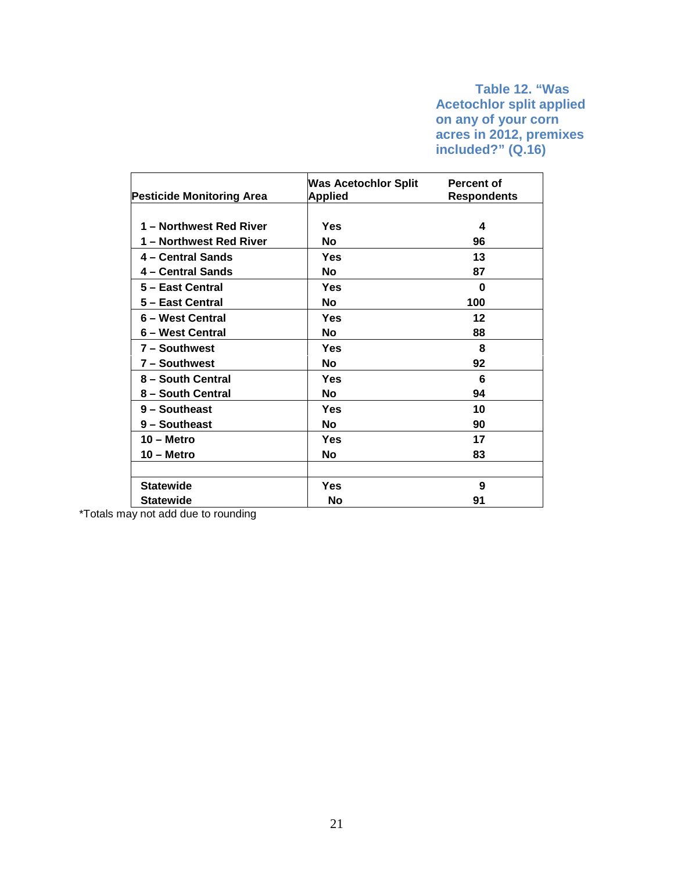#### **Table 12. "Was Acetochlor split applied on any of your corn acres in 2012, premixes included?" (Q.16)**

<span id="page-21-0"></span>

| <b>Pesticide Monitoring Area</b> | <b>Was Acetochlor Split</b><br><b>Applied</b> | Percent of<br><b>Respondents</b> |
|----------------------------------|-----------------------------------------------|----------------------------------|
|                                  |                                               |                                  |
| 1 – Northwest Red River          | Yes                                           | 4                                |
| 1 - Northwest Red River          | No                                            | 96                               |
| 4 – Central Sands                | Yes                                           | 13                               |
| 4 - Central Sands                | <b>No</b>                                     | 87                               |
| 5 - East Central                 | Yes                                           | U                                |
| 5 - East Central                 | No                                            | 100                              |
| 6 - West Central                 | Yes                                           | 12                               |
| 6 - West Central                 | Nο                                            | 88                               |
| 7 - Southwest                    | Yes                                           | 8                                |
| 7 - Southwest                    | No                                            | 92                               |
| 8 - South Central                | Yes                                           | 6                                |
| 8 - South Central                | No                                            | 94                               |
| 9 - Southeast                    | Yes                                           | 10                               |
| 9 - Southeast                    | <b>No</b>                                     | 90                               |
| $10 -$ Metro                     | Yes                                           | 17                               |
| 10 – Metro                       | No                                            | 83                               |
|                                  |                                               |                                  |
| <b>Statewide</b>                 | Yes                                           | 9                                |
| <b>Statewide</b>                 | No                                            | 91                               |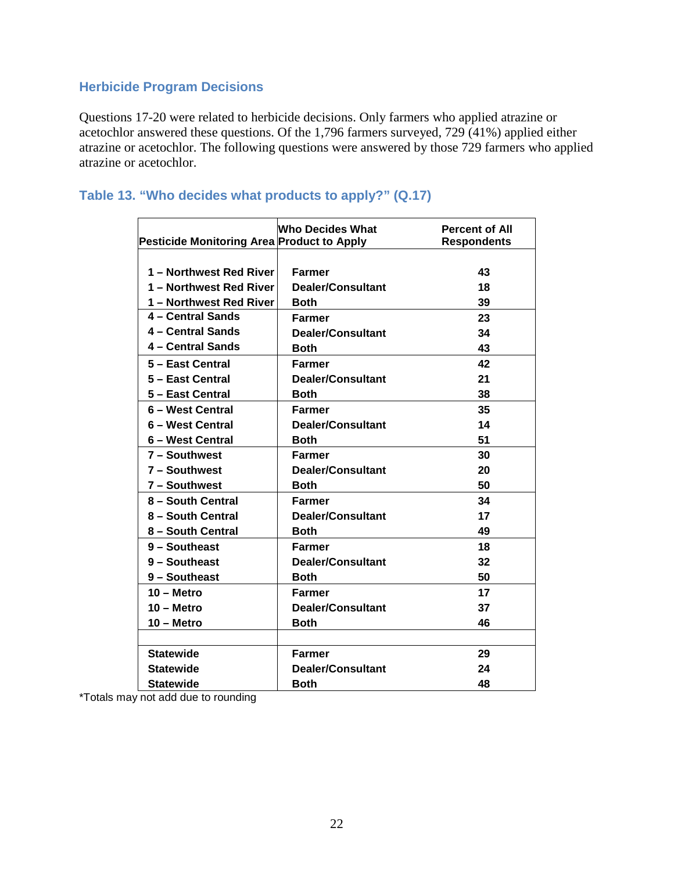#### <span id="page-22-0"></span>**Herbicide Program Decisions**

Questions 17-20 were related to herbicide decisions. Only farmers who applied atrazine or acetochlor answered these questions. Of the 1,796 farmers surveyed, 729 (41%) applied either atrazine or acetochlor. The following questions were answered by those 729 farmers who applied atrazine or acetochlor.

#### <span id="page-22-1"></span>**Table 13. "Who decides what products to apply?" (Q.17)**

|                                            | <b>Who Decides What</b>  | <b>Percent of All</b> |
|--------------------------------------------|--------------------------|-----------------------|
| Pesticide Monitoring Area Product to Apply |                          | <b>Respondents</b>    |
|                                            |                          |                       |
| 1 – Northwest Red River                    | Farmer                   | 43                    |
| 1 - Northwest Red River                    | <b>Dealer/Consultant</b> | 18                    |
| 1 - Northwest Red River                    | <b>Both</b>              | 39                    |
| 4 - Central Sands                          | Farmer                   | 23                    |
| 4 - Central Sands                          | Dealer/Consultant        | 34                    |
| 4 - Central Sands                          | Both                     | 43                    |
| 5 - East Central                           | Farmer                   | 42                    |
| 5 - East Central                           | <b>Dealer/Consultant</b> | 21                    |
| 5 - East Central                           | <b>Both</b>              | 38                    |
| 6 - West Central                           | <b>Farmer</b>            | 35                    |
| 6 - West Central                           | Dealer/Consultant        | 14                    |
| 6 - West Central                           | <b>Both</b>              | 51                    |
| 7 - Southwest                              | <b>Farmer</b>            | 30                    |
| 7 - Southwest                              | <b>Dealer/Consultant</b> | 20                    |
| 7 - Southwest                              | <b>Both</b>              | 50                    |
| 8 - South Central                          | <b>Farmer</b>            | 34                    |
| 8 - South Central                          | <b>Dealer/Consultant</b> | 17                    |
| 8 – South Central                          | <b>Both</b>              | 49                    |
| 9 - Southeast                              | Farmer                   | 18                    |
| 9 - Southeast                              | Dealer/Consultant        | 32                    |
| 9 - Southeast                              | Both                     | 50                    |
| $10 -$ Metro                               | Farmer                   | 17                    |
| $10 -$ Metro                               | Dealer/Consultant        | 37                    |
| $10 -$ Metro                               | <b>Both</b>              | 46                    |
|                                            |                          |                       |
| <b>Statewide</b>                           | Farmer                   | 29                    |
| <b>Statewide</b>                           | Dealer/Consultant        | 24                    |
| <b>Statewide</b>                           | Both                     | 48                    |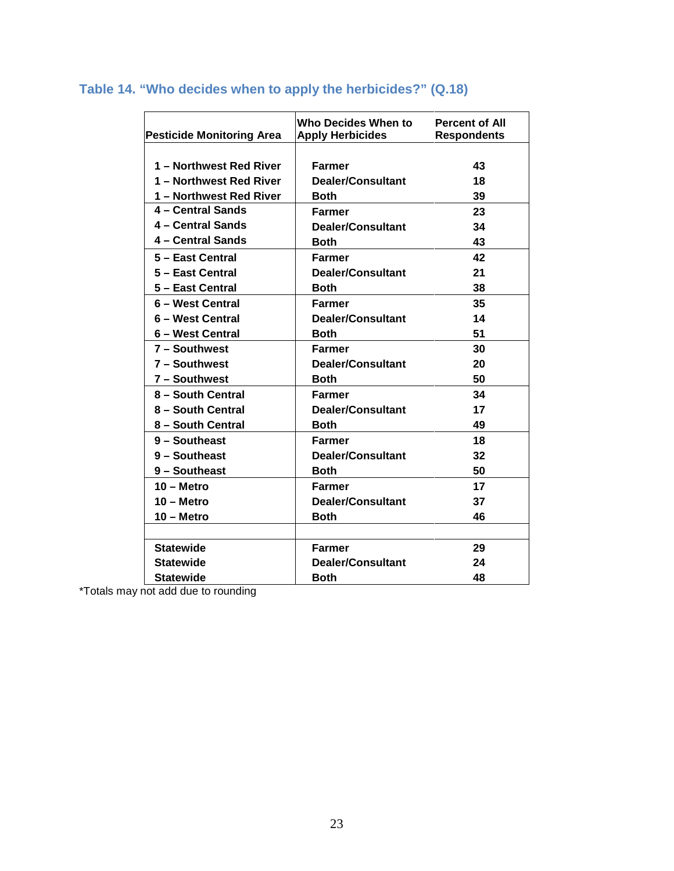| <b>Pesticide Monitoring Area</b> | Who Decides When to<br><b>Apply Herbicides</b> | <b>Percent of All</b><br><b>Respondents</b> |
|----------------------------------|------------------------------------------------|---------------------------------------------|
| 1 - Northwest Red River          | Farmer                                         | 43                                          |
| 1 - Northwest Red River          | Dealer/Consultant                              | 18                                          |
| 1 - Northwest Red River          | <b>Both</b>                                    | 39                                          |
| 4 - Central Sands                | <b>Farmer</b>                                  | 23                                          |
| 4 - Central Sands                | <b>Dealer/Consultant</b>                       | 34                                          |
| 4 - Central Sands                | <b>Both</b>                                    | 43                                          |
| 5 - East Central                 | Farmer                                         | 42                                          |
| 5 - East Central                 | Dealer/Consultant                              | 21                                          |
| 5 - East Central                 | <b>Both</b>                                    | 38                                          |
| 6 - West Central                 | Farmer                                         | 35                                          |
| 6 - West Central                 | <b>Dealer/Consultant</b>                       | 14                                          |
| 6 - West Central                 | Both                                           | 51                                          |
| 7 - Southwest                    | Farmer                                         | 30                                          |
| 7 - Southwest                    | Dealer/Consultant                              | 20                                          |
| 7 - Southwest                    | <b>Both</b>                                    | 50                                          |
| 8 - South Central                | <b>Farmer</b>                                  | 34                                          |
| 8 - South Central                | Dealer/Consultant                              | 17                                          |
| 8 – South Central                | <b>Both</b>                                    | 49                                          |
| 9 - Southeast                    | <b>Farmer</b>                                  | 18                                          |
| 9 - Southeast                    | <b>Dealer/Consultant</b>                       | 32                                          |
| 9 - Southeast                    | <b>Both</b>                                    | 50                                          |
| $10 -$ Metro                     | Farmer                                         | 17                                          |
| $10 -$ Metro                     | Dealer/Consultant                              | 37                                          |
| 10 - Metro                       | <b>Both</b>                                    | 46                                          |
|                                  |                                                |                                             |
| <b>Statewide</b>                 | <b>Farmer</b>                                  | 29                                          |
| <b>Statewide</b>                 | Dealer/Consultant                              | 24                                          |
| <b>Statewide</b>                 | Both                                           | 48                                          |

## <span id="page-23-0"></span>**Table 14. "Who decides when to apply the herbicides?" (Q.18)**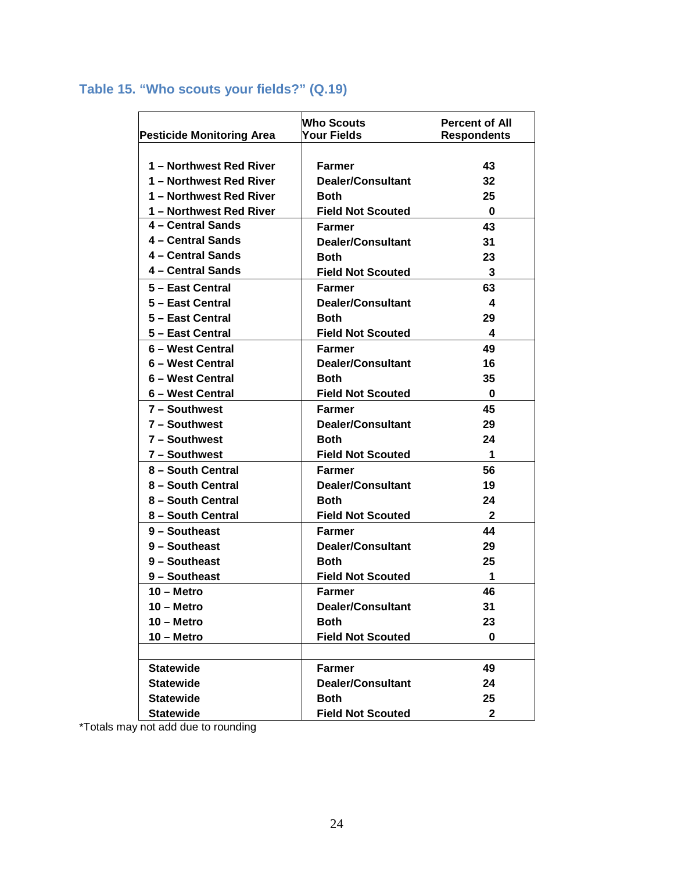## <span id="page-24-0"></span>**Table 15. "Who scouts your fields?" (Q.19)**

|                                  | <b>Who Scouts</b>        | <b>Percent of All</b> |
|----------------------------------|--------------------------|-----------------------|
| <b>Pesticide Monitoring Area</b> | <b>Your Fields</b>       | <b>Respondents</b>    |
|                                  |                          |                       |
| 1 - Northwest Red River          | <b>Farmer</b>            | 43                    |
| 1 - Northwest Red River          | Dealer/Consultant        | 32                    |
| 1 - Northwest Red River          | Both                     | 25                    |
| 1 - Northwest Red River          | <b>Field Not Scouted</b> | 0                     |
| 4 - Central Sands                | Farmer                   | 43                    |
| 4 - Central Sands                | Dealer/Consultant        | 31                    |
| 4 - Central Sands                | <b>Both</b>              | 23                    |
| 4 - Central Sands                | <b>Field Not Scouted</b> | 3                     |
| 5 - East Central                 | <b>Farmer</b>            | 63                    |
| 5 - East Central                 | Dealer/Consultant        | 4                     |
| 5 – East Central                 | Both                     | 29                    |
| 5 - East Central                 | <b>Field Not Scouted</b> | $\boldsymbol{4}$      |
| 6 – West Central                 | Farmer                   | 49                    |
| 6 - West Central                 | <b>Dealer/Consultant</b> | 16                    |
| 6 - West Central                 | Both                     | 35                    |
| 6 – West Central                 | <b>Field Not Scouted</b> | $\bf{0}$              |
| 7 - Southwest                    | <b>Farmer</b>            | 45                    |
| 7 - Southwest                    | <b>Dealer/Consultant</b> | 29                    |
| 7 - Southwest                    | Both                     | 24                    |
| 7 - Southwest                    | <b>Field Not Scouted</b> | 1                     |
| 8 - South Central                | Farmer                   | 56                    |
| 8 - South Central                | <b>Dealer/Consultant</b> | 19                    |
| 8 - South Central                | Both                     | 24                    |
| 8 - South Central                | <b>Field Not Scouted</b> | 2                     |
| 9 - Southeast                    | Farmer                   | 44                    |
| 9 - Southeast                    | <b>Dealer/Consultant</b> | 29                    |
| 9 - Southeast                    | Both                     | 25                    |
| 9 - Southeast                    | <b>Field Not Scouted</b> | 1                     |
| $10 -$ Metro                     | Farmer                   | 46                    |
| $10 -$ Metro                     | Dealer/Consultant        | 31                    |
| $10 -$ Metro                     | <b>Both</b>              | 23                    |
| $10 -$ Metro                     | <b>Field Not Scouted</b> | $\bf{0}$              |
|                                  |                          |                       |
| <b>Statewide</b>                 | <b>Farmer</b>            | 49                    |
| <b>Statewide</b>                 | <b>Dealer/Consultant</b> | 24                    |
| <b>Statewide</b>                 | <b>Both</b>              | 25                    |
| <b>Statewide</b>                 | <b>Field Not Scouted</b> | $\mathbf{2}$          |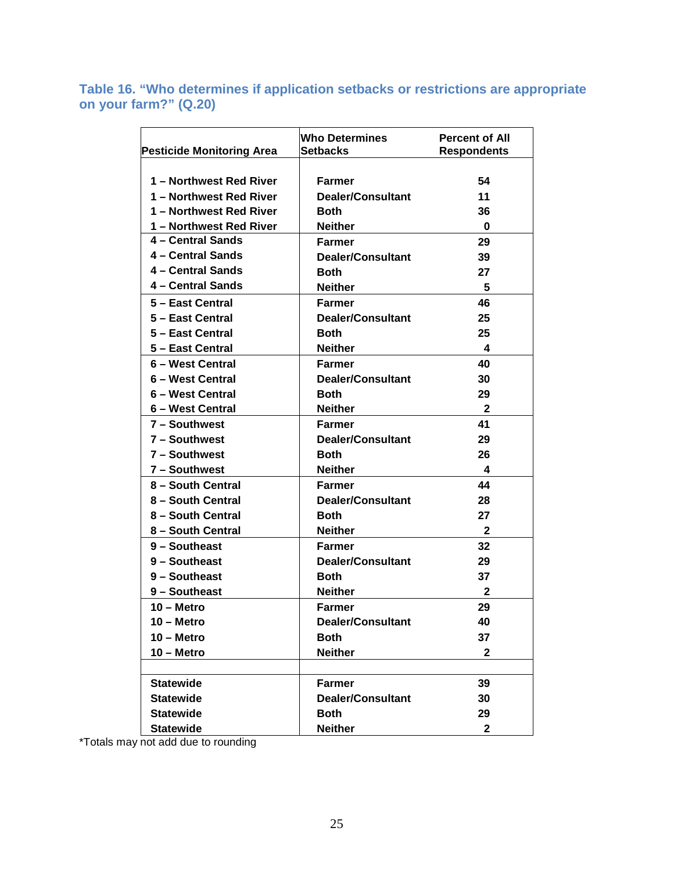<span id="page-25-0"></span>**Table 16. "Who determines if application setbacks or restrictions are appropriate on your farm?" (Q.20)** 

|                                  | <b>Who Determines</b>    | <b>Percent of All</b> |
|----------------------------------|--------------------------|-----------------------|
| <b>Pesticide Monitoring Area</b> | <b>Setbacks</b>          | <b>Respondents</b>    |
|                                  |                          |                       |
| 1 - Northwest Red River          | <b>Farmer</b>            | 54                    |
| 1 - Northwest Red River          | Dealer/Consultant        | 11                    |
| 1 - Northwest Red River          | Both                     | 36                    |
| 1 - Northwest Red River          | Neither                  | $\bf{0}$              |
| 4 - Central Sands                | Farmer                   | 29                    |
| 4 - Central Sands                | <b>Dealer/Consultant</b> | 39                    |
| 4 - Central Sands                | Both                     | 27                    |
| 4 - Central Sands                | <b>Neither</b>           | 5                     |
| 5 - East Central                 | Farmer                   | 46                    |
| 5 - East Central                 | <b>Dealer/Consultant</b> | 25                    |
| 5 - East Central                 | <b>Both</b>              | 25                    |
| 5 - East Central                 | <b>Neither</b>           | -4                    |
| 6 – West Central                 | <b>Farmer</b>            | 40                    |
| 6 - West Central                 | Dealer/Consultant        | 30                    |
| 6 - West Central                 | <b>Both</b>              | 29                    |
| 6 - West Central                 | <b>Neither</b>           | $\overline{2}$        |
| 7 - Southwest                    | <b>Farmer</b>            | 41                    |
| $7 -$ Southwest                  | Dealer/Consultant        | 29                    |
| 7 - Southwest                    | Both                     | 26                    |
| 7 - Southwest                    | <b>Neither</b>           | 4                     |
| 8 - South Central                | <b>Farmer</b>            | 44                    |
| 8 - South Central                | <b>Dealer/Consultant</b> | 28                    |
| 8 - South Central                | <b>Both</b>              | 27                    |
| 8 - South Central                | Neither                  | $\mathbf{2}$          |
| 9 - Southeast                    | Farmer                   | 32                    |
| 9 - Southeast                    | <b>Dealer/Consultant</b> | 29                    |
| 9 - Southeast                    | Both                     | 37                    |
| 9 - Southeast                    | <b>Neither</b>           | 2                     |
| 10 - Metro                       | <b>Farmer</b>            | 29                    |
| 10 - Metro                       | <b>Dealer/Consultant</b> | 40                    |
| 10 - Metro                       | <b>Both</b>              | 37                    |
| $10 -$ Metro                     | <b>Neither</b>           | 2                     |
|                                  |                          |                       |
| <b>Statewide</b>                 | <b>Farmer</b>            | 39                    |
| <b>Statewide</b>                 | <b>Dealer/Consultant</b> | 30                    |
| <b>Statewide</b>                 | <b>Both</b>              | 29                    |
| <b>Statewide</b>                 | <b>Neither</b>           | $\mathbf{2}$          |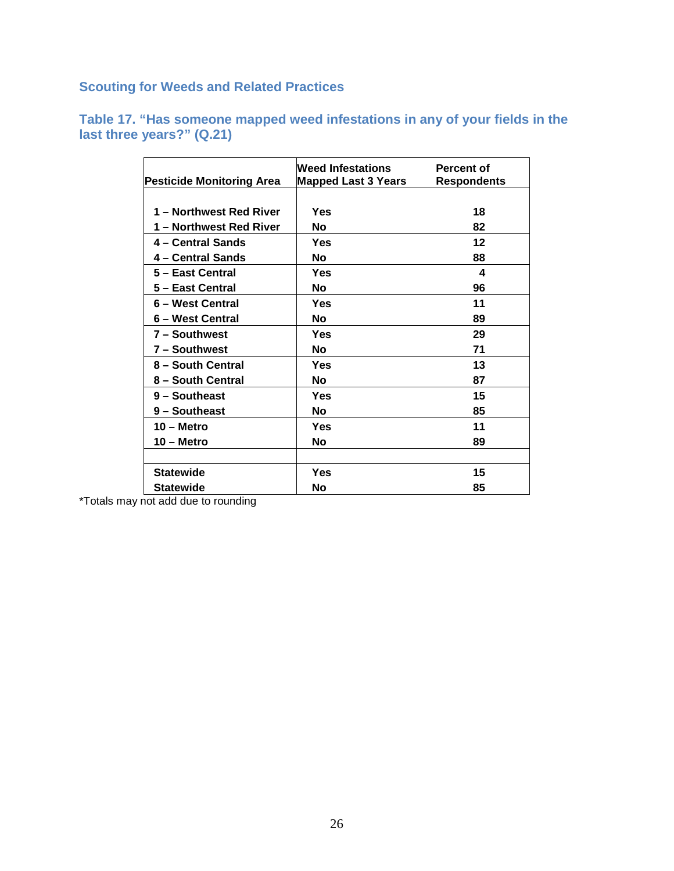<span id="page-26-0"></span>**Scouting for Weeds and Related Practices**

<span id="page-26-1"></span>

|  |                           |  | Table 17. "Has someone mapped weed infestations in any of your fields in the |  |  |
|--|---------------------------|--|------------------------------------------------------------------------------|--|--|
|  | last three years?" (Q.21) |  |                                                                              |  |  |

| <b>Pesticide Monitoring Area</b> | Weed Infestations<br><b>Mapped Last 3 Years</b> | Percent of<br><b>Respondents</b> |
|----------------------------------|-------------------------------------------------|----------------------------------|
|                                  |                                                 |                                  |
| 1 - Northwest Red River          | Yes                                             | 18                               |
| 1 – Northwest Red River          | No                                              | 82                               |
| 4 – Central Sands                | Yes                                             | 12                               |
| 4 – Central Sands                | No                                              | 88                               |
| 5 - East Central                 | Yes                                             | 4                                |
| 5 - East Central                 | Νo                                              | 96                               |
| 6 – West Central                 | Yes                                             | 11                               |
| 6 – West Central                 | Νo                                              | 89                               |
| 7 - Southwest                    | Yes                                             | 29                               |
| 7 - Southwest                    | No                                              | 71                               |
| 8 - South Central                | Yes                                             | 13                               |
| 8 - South Central                | No                                              | 87                               |
| 9 - Southeast                    | Yes                                             | 15                               |
| 9 - Southeast                    | No                                              | 85                               |
| $10 -$ Metro                     | Yes                                             | 11                               |
| 10 – Metro                       | No                                              | 89                               |
|                                  |                                                 |                                  |
| <b>Statewide</b>                 | Yes                                             | 15                               |
| <b>Statewide</b>                 | No                                              | 85                               |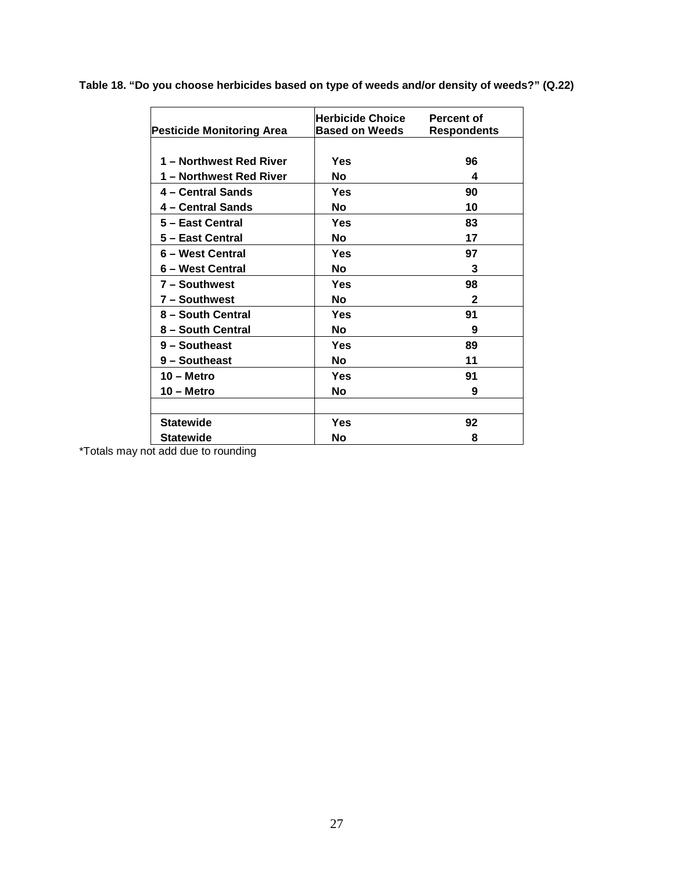**Table 18. "Do you choose herbicides based on type of weeds and/or density of weeds?" (Q.22)**

| <b>Pesticide Monitoring Area</b> | Herbicide Choice .<br><b>Based on Weeds</b> | Percent of<br><b>Respondents</b> |
|----------------------------------|---------------------------------------------|----------------------------------|
|                                  |                                             |                                  |
| 1 – Northwest Red River          | Yes                                         | 96                               |
| 1 – Northwest Red River          | No                                          | 4                                |
| 4 - Central Sands                | Yes                                         | 90                               |
| 4 - Central Sands                | No                                          | 10                               |
| 5 - East Central                 | Yes                                         | 83                               |
| 5 – East Central                 | No                                          | 17                               |
| 6 – West Central                 | Yes                                         | 97                               |
| 6 – West Central                 | No                                          | 3                                |
| 7 - Southwest                    | Yes                                         | 98                               |
| 7 - Southwest                    | No                                          | 2                                |
| 8 - South Central                | Yes                                         | 91                               |
| 8 - South Central                | No                                          | 9                                |
| 9 - Southeast                    | Yes                                         | 89                               |
| 9 - Southeast                    | No                                          | 11                               |
| $10 -$ Metro                     | Yes                                         | 91                               |
| 10 - Metro                       | No                                          | 9                                |
|                                  |                                             |                                  |
| <b>Statewide</b>                 | Yes                                         | 92                               |
| <b>Statewide</b>                 | No                                          | 8                                |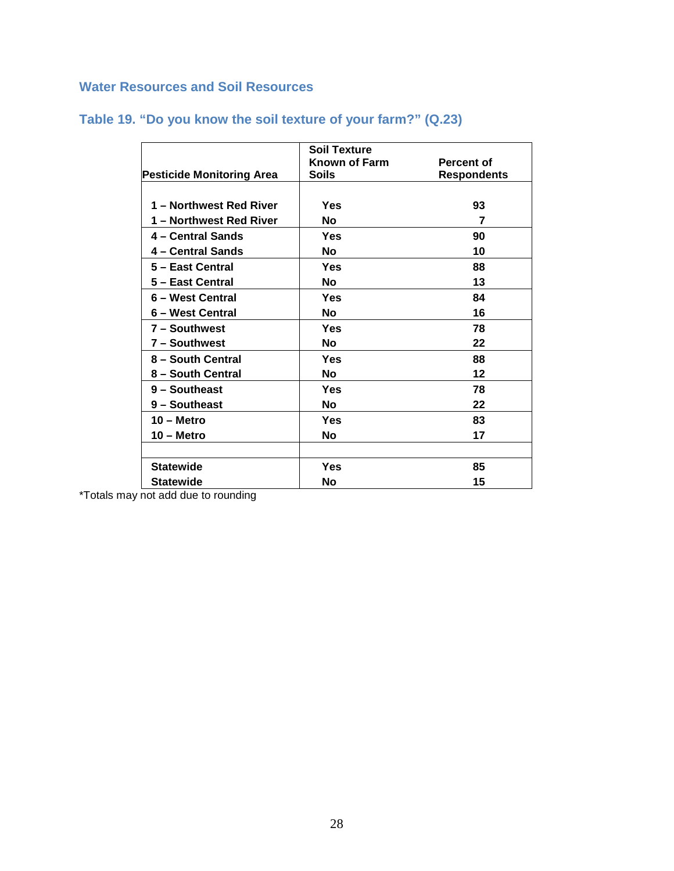#### <span id="page-28-0"></span>**Water Resources and Soil Resources**

|                                  | <b>Soil Texture</b>  |                    |
|----------------------------------|----------------------|--------------------|
|                                  | <b>Known of Farm</b> | Percent of         |
| <b>Pesticide Monitoring Area</b> | Soils                | <b>Respondents</b> |
|                                  |                      |                    |
| 1 - Northwest Red River          | Yes                  | 93                 |
| 1 – Northwest Red River          | No                   | 7                  |
| 4 - Central Sands                | Yes                  | 90                 |
| 4 – Central Sands                | No                   | 10                 |
| 5 - East Central                 | Yes                  | 88                 |
| 5 - East Central                 | No                   | 13                 |
| 6 - West Central                 | Yes                  | 84                 |
| 6 – West Central                 | No                   | 16                 |
| 7 - Southwest                    | Yes                  | 78                 |
| 7 – Southwest                    | No                   | 22                 |
| 8 - South Central                | Yes                  | 88                 |
| 8 – South Central                | <b>No</b>            | 12                 |
| 9 - Southeast                    | <b>Yes</b>           | 78                 |
| 9 - Southeast                    | No                   | 22                 |
| $10 -$ Metro                     | Yes                  | 83                 |
| 10 - Metro                       | <b>No</b>            | 17                 |
|                                  |                      |                    |
| <b>Statewide</b>                 | Yes                  | 85                 |
| <b>Statewide</b>                 | No                   | 15                 |

### <span id="page-28-1"></span>**Table 19. "Do you know the soil texture of your farm?" (Q.23)**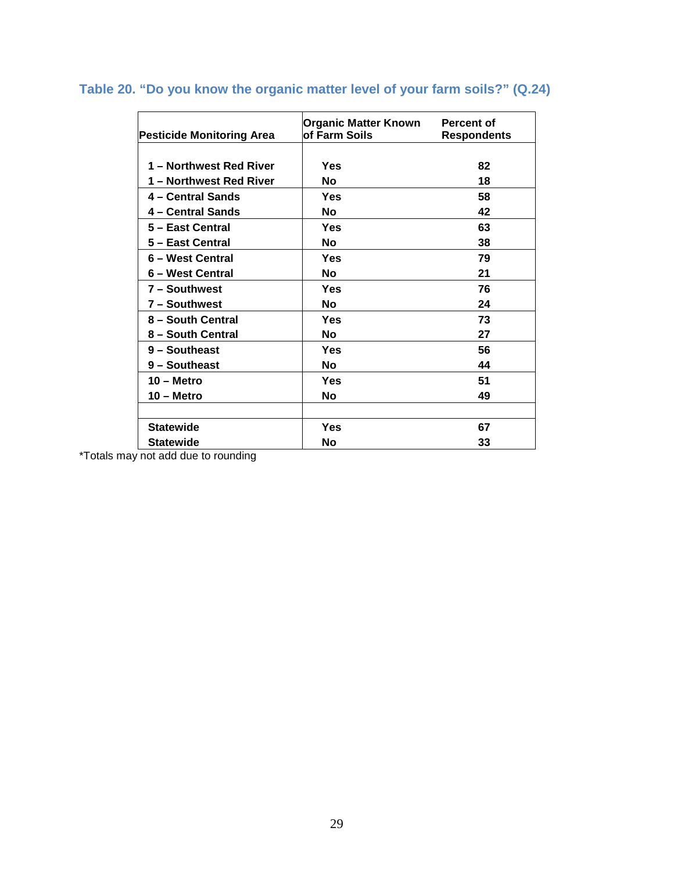| <b>Pesticide Monitoring Area</b> | <b>Organic Matter Known</b><br>of Farm Soils | <b>Percent of</b><br><b>Respondents</b> |
|----------------------------------|----------------------------------------------|-----------------------------------------|
|                                  |                                              |                                         |
| 1 – Northwest Red River          | Yes                                          | 82                                      |
| 1 – Northwest Red River          | No                                           | 18                                      |
| 4 – Central Sands                | Yes                                          | 58                                      |
| 4 – Central Sands                | <b>No</b>                                    | 42                                      |
| 5 - East Central                 | Yes                                          | 63                                      |
| 5 - East Central                 | Nο                                           | 38                                      |
| 6 - West Central                 | Yes                                          | 79                                      |
| 6 – West Central                 | No                                           | 21                                      |
| 7 - Southwest                    | Yes                                          | 76                                      |
| 7 - Southwest                    | No                                           | 24                                      |
| 8 - South Central                | Yes                                          | 73                                      |
| 8 - South Central                | Nο                                           | 27                                      |
| 9 - Southeast                    | Yes                                          | 56                                      |
| 9 - Southeast                    | Nο                                           | 44                                      |
| $10 -$ Metro                     | Yes                                          | 51                                      |
| $10 -$ Metro                     | No                                           | 49                                      |
|                                  |                                              |                                         |
| <b>Statewide</b>                 | Yes                                          | 67                                      |
| <b>Statewide</b>                 | No                                           | 33                                      |

## <span id="page-29-0"></span>**Table 20. "Do you know the organic matter level of your farm soils?" (Q.24)**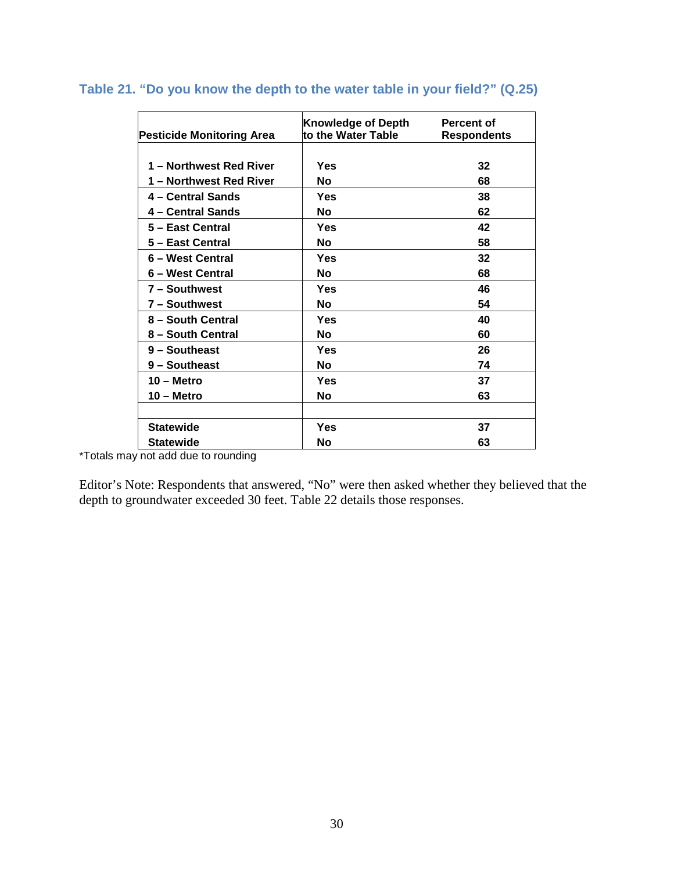| Pesticide Monitoring Area | <b>Knowledge of Depth</b><br>to the Water Table | Percent of<br><b>Respondents</b> |
|---------------------------|-------------------------------------------------|----------------------------------|
|                           |                                                 |                                  |
| 1 - Northwest Red River   | Yes                                             | 32                               |
| 1 – Northwest Red River   | No                                              | 68                               |
| 4 - Central Sands         | Yes                                             | 38                               |
| 4 – Central Sands         | No                                              | 62                               |
| 5 - East Central          | Yes                                             | 42                               |
| 5 - East Central          | No                                              | 58                               |
| 6 - West Central          | Yes                                             | 32                               |
| 6 – West Central          | No                                              | 68                               |
| 7 - Southwest             | Yes                                             | 46                               |
| 7 - Southwest             | No                                              | 54                               |
| 8 - South Central         | Yes                                             | 40                               |
| 8 - South Central         | No                                              | 60                               |
| 9 - Southeast             | Yes                                             | 26                               |
| 9 - Southeast             | No.                                             | 74                               |
| $10 -$ Metro              | Yes                                             | 37                               |
| 10 – Metro                | No                                              | 63                               |
|                           |                                                 |                                  |
| <b>Statewide</b>          | Yes                                             | 37                               |
| <b>Statewide</b>          | No                                              | 63                               |

#### <span id="page-30-0"></span>**Table 21. "Do you know the depth to the water table in your field?" (Q.25)**

\*Totals may not add due to rounding

Editor's Note: Respondents that answered, "No" were then asked whether they believed that the depth to groundwater exceeded 30 feet. Table 22 details those responses.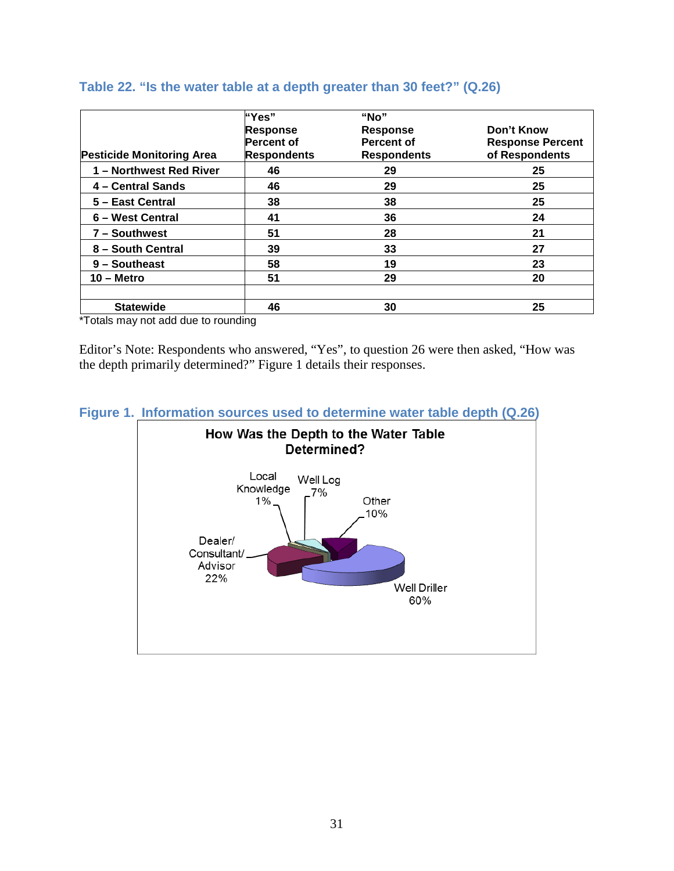|                                  | "Yes"              | "No $"$            |                         |
|----------------------------------|--------------------|--------------------|-------------------------|
|                                  | <b>Response</b>    | <b>Response</b>    | Don't Know              |
|                                  | <b>Percent of</b>  | <b>Percent of</b>  | <b>Response Percent</b> |
| <b>Pesticide Monitoring Area</b> | <b>Respondents</b> | <b>Respondents</b> | of Respondents          |
| 1 - Northwest Red River          | 46                 | 29                 | 25                      |
| 4 - Central Sands                | 46                 | 29                 | 25                      |
| 5 - East Central                 | 38                 | 38                 | 25                      |
| 6 - West Central                 | 41                 | 36                 | 24                      |
| 7 - Southwest                    | 51                 | 28                 | 21                      |
| 8 - South Central                | 39                 | 33                 | 27                      |
| 9 - Southeast                    | 58                 | 19                 | 23                      |
| $10 -$ Metro                     | 51                 | 29                 | 20                      |
|                                  |                    |                    |                         |
| <b>Statewide</b>                 | 46                 | 30                 | 25                      |

#### <span id="page-31-0"></span>**Table 22. "Is the water table at a depth greater than 30 feet?" (Q.26)**

\*Totals may not add due to rounding

Editor's Note: Respondents who answered, "Yes", to question 26 were then asked, "How was the depth primarily determined?" Figure 1 details their responses.



<span id="page-31-1"></span>**Figure 1. Information sources used to determine water table depth (Q.26)**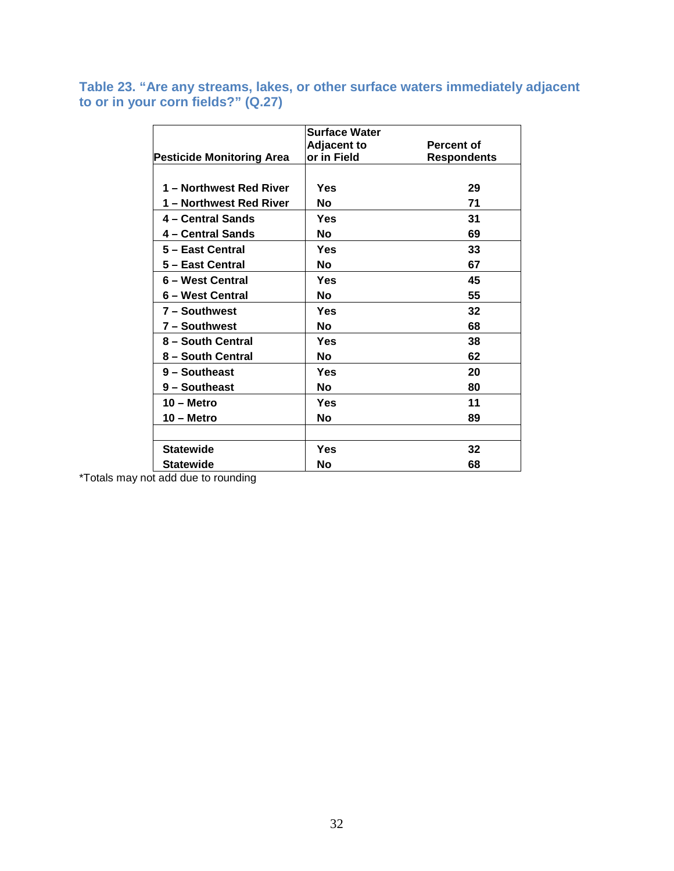#### <span id="page-32-0"></span>**Table 23. "Are any streams, lakes, or other surface waters immediately adjacent to or in your corn fields?" (Q.27)**

|                                  | <b>Surface Water</b> |                    |
|----------------------------------|----------------------|--------------------|
|                                  | <b>Adjacent to</b>   | <b>Percent of</b>  |
| <b>Pesticide Monitoring Area</b> | or in Field          | <b>Respondents</b> |
|                                  |                      |                    |
| 1 - Northwest Red River          | Yes                  | 29                 |
| 1 – Northwest Red River          | No                   | 71                 |
| 4 – Central Sands                | Yes                  | 31                 |
| 4 – Central Sands                | No                   | 69                 |
| 5 - East Central                 | Yes                  | 33                 |
| 5 - East Central                 | No                   | 67                 |
| 6 – West Central                 | Yes                  | 45                 |
| 6 – West Central                 | No                   | 55                 |
| 7 - Southwest                    | Yes                  | 32                 |
| 7 - Southwest                    | No                   | 68                 |
| 8 - South Central                | Yes                  | 38                 |
| 8 - South Central                | No                   | 62                 |
| 9 - Southeast                    | Yes                  | 20                 |
| 9 - Southeast                    | No                   | 80                 |
| $10 -$ Metro                     | Yes                  | 11                 |
| 10 – Metro                       | No                   | 89                 |
|                                  |                      |                    |
| <b>Statewide</b>                 | Yes                  | 32                 |
| <b>Statewide</b>                 | Νo                   | 68                 |
|                                  |                      |                    |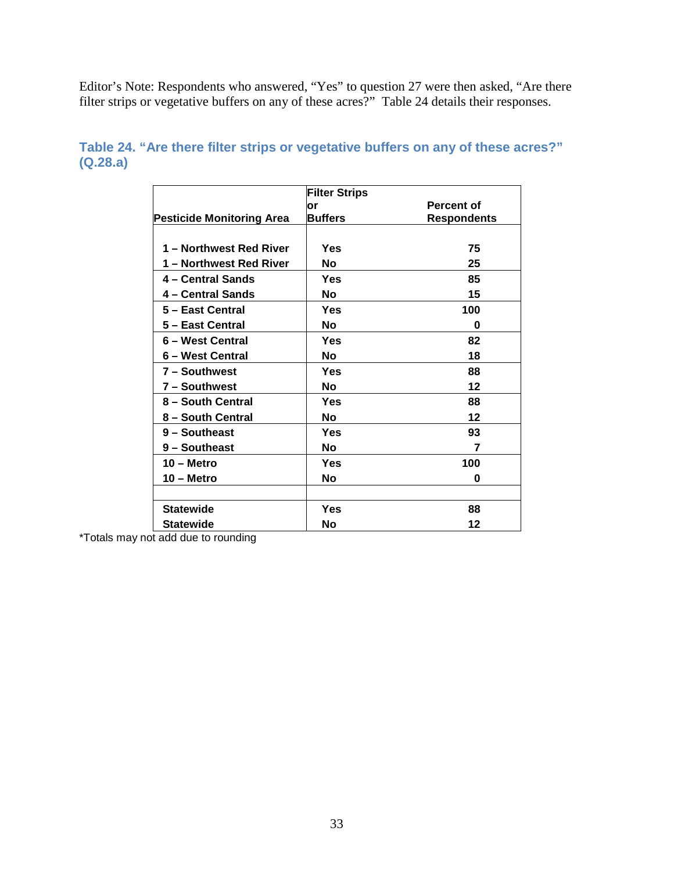Editor's Note: Respondents who answered, "Yes" to question 27 were then asked, "Are there filter strips or vegetative buffers on any of these acres?" Table 24 details their responses.

|                                  | <b>Filter Strips</b> |                    |
|----------------------------------|----------------------|--------------------|
|                                  | lor                  | <b>Percent of</b>  |
| <b>Pesticide Monitoring Area</b> | <b>Buffers</b>       | <b>Respondents</b> |
|                                  |                      |                    |
| 1 – Northwest Red River          | Yes                  | 75                 |
| 1 - Northwest Red River          | <b>No</b>            | 25                 |
| 4 – Central Sands                | Yes                  | 85                 |
| 4 – Central Sands                | <b>No</b>            | 15                 |
| 5 - East Central                 | Yes                  | 100                |
| 5 – East Central                 | No.                  | 0                  |
| 6 - West Central                 | Yes                  | 82                 |
| 6 – West Central                 | No.                  | 18                 |
| 7 - Southwest                    | Yes                  | 88                 |
| 7 - Southwest                    | No.                  | 12                 |
| 8 - South Central                | Yes                  | 88                 |
| 8 - South Central                | No.                  | $12 \,$            |
| 9 - Southeast                    | Yes                  | 93                 |
| 9 - Southeast                    | <b>No</b>            | 7                  |
| $10 -$ Metro                     | Yes                  | 100                |
| 10 – Metro                       | <b>No</b>            | O                  |
|                                  |                      |                    |
| <b>Statewide</b>                 | Yes                  | 88                 |
| <b>Statewide</b>                 | No                   | 12                 |

#### <span id="page-33-0"></span>**Table 24. "Are there filter strips or vegetative buffers on any of these acres?" (Q.28.a)**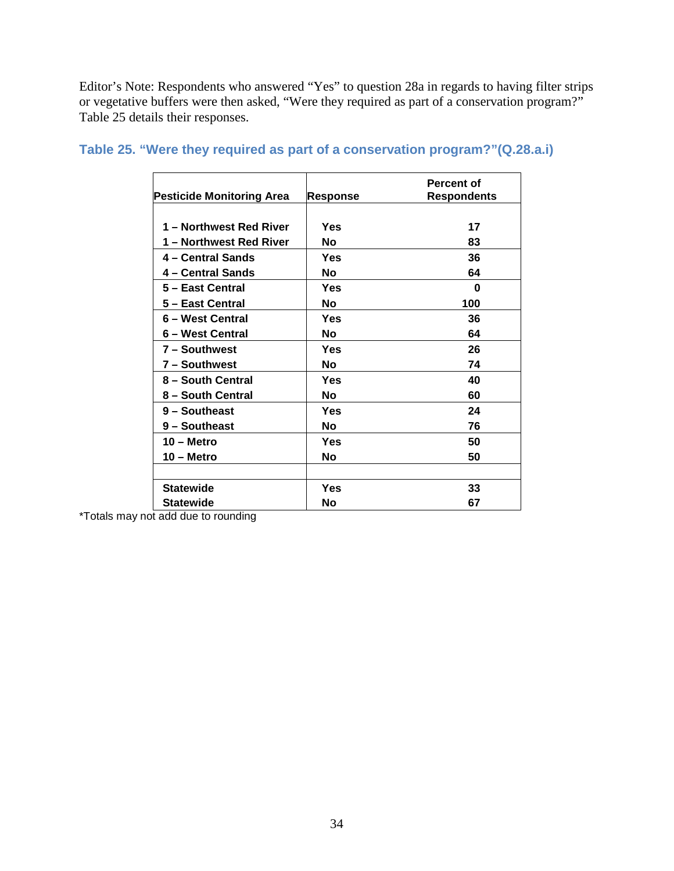Editor's Note: Respondents who answered "Yes" to question 28a in regards to having filter strips or vegetative buffers were then asked, "Were they required as part of a conservation program?" Table 25 details their responses.

| <b>Pesticide Monitoring Area</b> | <b>Response</b> | <b>Percent of</b><br><b>Respondents</b> |
|----------------------------------|-----------------|-----------------------------------------|
|                                  |                 |                                         |
| 1 - Northwest Red River          | Yes             | 17                                      |
| 1 – Northwest Red River          | No              | 83                                      |
| 4 - Central Sands                | Yes             | 36                                      |
| 4 – Central Sands                | No              | 64                                      |
| 5 - East Central                 | Yes             | U                                       |
| 5 - East Central                 | No              | 100                                     |
| 6 – West Central                 | Yes             | 36                                      |
| 6 – West Central                 | No              | 64                                      |
| 7 - Southwest                    | Yes             | 26                                      |
| 7 - Southwest                    | No              | 74                                      |
| 8 - South Central                | Yes             | 40                                      |
| 8 - South Central                | No              | 60                                      |
| 9 - Southeast                    | Yes             | 24                                      |
| 9 - Southeast                    | No              | 76                                      |
| $10 -$ Metro                     | Yes             | 50                                      |
| 10 – Metro                       | No              | 50                                      |
|                                  |                 |                                         |
| <b>Statewide</b>                 | Yes             | 33                                      |
| <b>Statewide</b>                 | No              | 67                                      |

#### <span id="page-34-0"></span>**Table 25. "Were they required as part of a conservation program?"(Q.28.a.i)**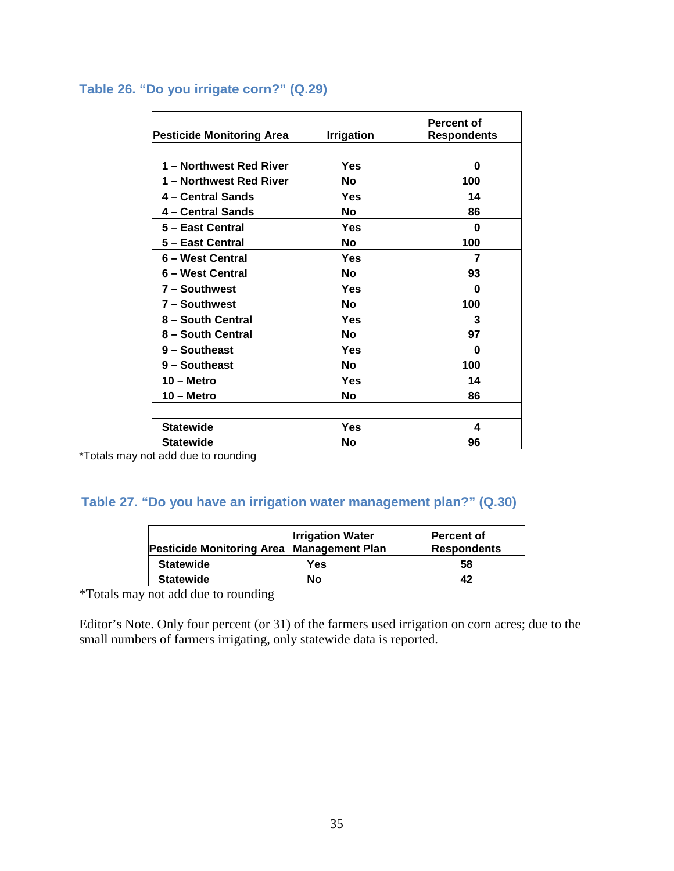#### <span id="page-35-0"></span>**Table 26. "Do you irrigate corn?" (Q.29)**

| <b>Pesticide Monitoring Area</b> | <b>Irrigation</b> | Percent of<br><b>Respondents</b> |
|----------------------------------|-------------------|----------------------------------|
|                                  |                   |                                  |
| 1 - Northwest Red River          | Yes               | ŋ                                |
| 1 – Northwest Red River          | <b>No</b>         | 100                              |
| 4 – Central Sands                | Yes               | 14                               |
| 4 – Central Sands                | <b>No</b>         | 86                               |
| 5 - East Central                 | Yes               | ŋ                                |
| 5 - East Central                 | No                | 100                              |
| 6 - West Central                 | Yes               | 7                                |
| 6 – West Central                 | Nο                | 93                               |
| 7 - Southwest                    | Yes               | ŋ                                |
| 7 - Southwest                    | No                | 100                              |
| 8 - South Central                | Yes               | 3                                |
| 8 - South Central                | No                | 97                               |
| 9 - Southeast                    | Yes               | ŋ                                |
| 9 - Southeast                    | No                | 100                              |
| $10 -$ Metro                     | Yes               | 14                               |
| 10 – Metro                       | Nο                | 86                               |
|                                  |                   |                                  |
| <b>Statewide</b>                 | Yes               | 4                                |
| Statewide                        | Nο                | 96                               |

\*Totals may not add due to rounding

### <span id="page-35-1"></span>**Table 27. "Do you have an irrigation water management plan?" (Q.30)**

| Pesticide Monitoring Area Management Plan | <b>Irrigation Water</b> | Percent of<br><b>Respondents</b> |
|-------------------------------------------|-------------------------|----------------------------------|
| <b>Statewide</b>                          | Yes                     | 58                               |
| <b>Statewide</b>                          | No                      | 42                               |

\*Totals may not add due to rounding

Editor's Note. Only four percent (or 31) of the farmers used irrigation on corn acres; due to the small numbers of farmers irrigating, only statewide data is reported.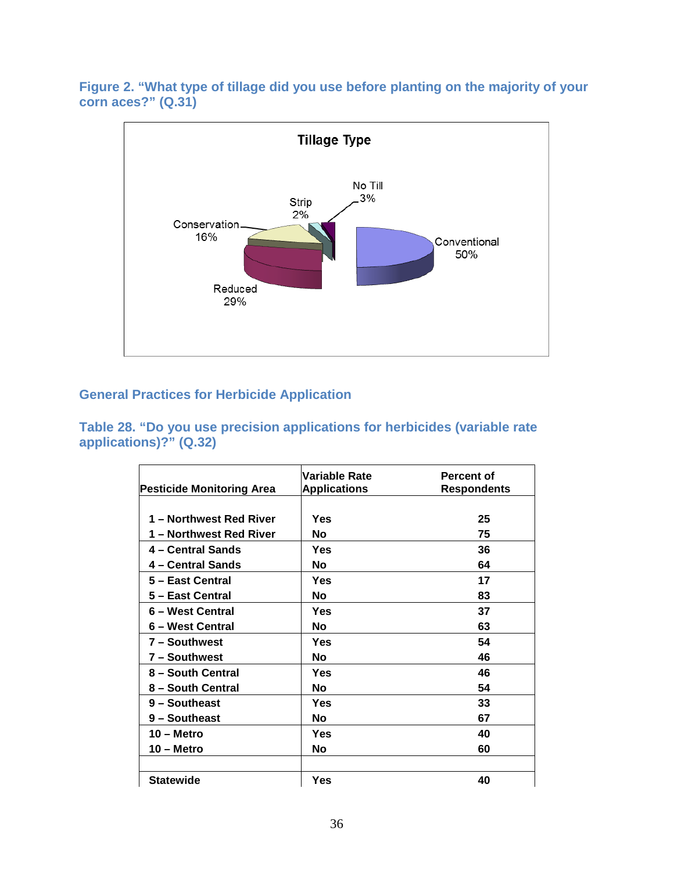#### <span id="page-36-0"></span>**Figure 2. "What type of tillage did you use before planting on the majority of your corn aces?" (Q.31)**



#### <span id="page-36-1"></span>**General Practices for Herbicide Application**

<span id="page-36-2"></span>**Table 28. "Do you use precision applications for herbicides (variable rate applications)?" (Q.32)** 

| Pesticide Monitoring Area | Variable Rate<br><b>Applications</b> | <b>Percent of</b><br><b>Respondents</b> |
|---------------------------|--------------------------------------|-----------------------------------------|
| 1 - Northwest Red River   | Yes                                  | 25                                      |
| 1 – Northwest Red River   | Νo                                   | 75                                      |
| 4 – Central Sands         | Yes                                  | 36                                      |
| 4 – Central Sands         | No                                   | 64                                      |
| 5 - East Central          | Yes                                  | 17                                      |
| 5 - East Central          | Νo                                   | 83                                      |
| 6 - West Central          | Yes                                  | 37                                      |
| 6 – West Central          | No                                   | 63                                      |
| 7 - Southwest             | Yes                                  | 54                                      |
| 7 – Southwest             | No                                   | 46                                      |
| 8 - South Central         | Yes                                  | 46                                      |
| 8 - South Central         | Νo                                   | 54                                      |
| 9 - Southeast             | Yes                                  | 33                                      |
| 9 - Southeast             | No                                   | 67                                      |
| $10 -$ Metro              | Yes                                  | 40                                      |
| $10 -$ Metro              | No                                   | 60                                      |
|                           |                                      |                                         |
| <b>Statewide</b>          | Yes                                  | 40                                      |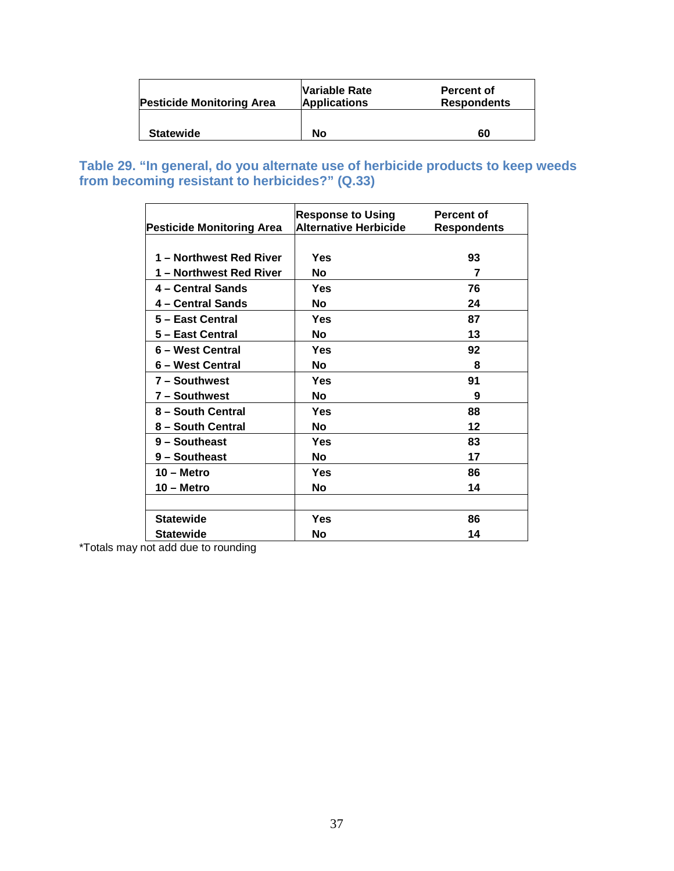| <b>Pesticide Monitoring Area</b> | Variable Rate<br><b>Applications</b> | <b>Percent of</b><br><b>Respondents</b> |
|----------------------------------|--------------------------------------|-----------------------------------------|
| <b>Statewide</b>                 | No                                   | 60                                      |

<span id="page-37-0"></span>**Table 29. "In general, do you alternate use of herbicide products to keep weeds from becoming resistant to herbicides?" (Q.33)** 

| <b>Pesticide Monitoring Area</b> | <b>Response to Using</b><br><b>Alternative Herbicide</b> | Percent of<br><b>Respondents</b> |
|----------------------------------|----------------------------------------------------------|----------------------------------|
|                                  |                                                          |                                  |
| 1 – Northwest Red River          | Yes                                                      | 93                               |
| 1 – Northwest Red River          | No                                                       | 7                                |
| 4 – Central Sands                | Yes                                                      | 76                               |
| 4 – Central Sands                | No                                                       | 24                               |
| 5 - East Central                 | Yes                                                      | 87                               |
| 5 – East Central                 | No                                                       | 13                               |
| 6 - West Central                 | Yes                                                      | 92                               |
| 6 – West Central                 | No                                                       | 8                                |
| 7 - Southwest                    | Yes                                                      | 91                               |
| 7 - Southwest                    | No                                                       | 9                                |
| 8 - South Central                | Yes                                                      | 88                               |
| 8 - South Central                | No                                                       | 12                               |
| 9 - Southeast                    | Yes                                                      | 83                               |
| 9 - Southeast                    | No                                                       | 17                               |
| $10 -$ Metro                     | Yes                                                      | 86                               |
| $10 -$ Metro                     | No                                                       | 14                               |
|                                  |                                                          |                                  |
| <b>Statewide</b>                 | Yes                                                      | 86                               |
| <b>Statewide</b>                 | No                                                       | 14                               |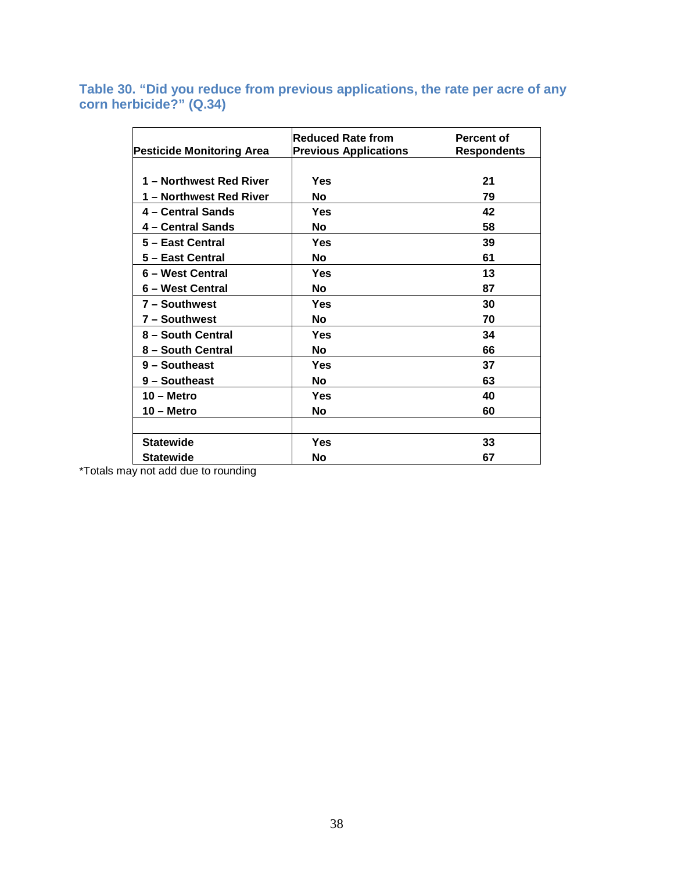<span id="page-38-0"></span>**Table 30. "Did you reduce from previous applications, the rate per acre of any corn herbicide?" (Q.34)** 

| <b>Pesticide Monitoring Area</b> | <b>Reduced Rate from</b><br><b>Previous Applications</b> | <b>Percent of</b><br><b>Respondents</b> |
|----------------------------------|----------------------------------------------------------|-----------------------------------------|
|                                  |                                                          |                                         |
| 1 - Northwest Red River          | Yes                                                      | 21                                      |
| 1 – Northwest Red River          | No                                                       | 79                                      |
| 4 – Central Sands                | Yes                                                      | 42                                      |
| 4 – Central Sands                | <b>No</b>                                                | 58                                      |
| 5 - East Central                 | Yes                                                      | 39                                      |
| 5 - East Central                 | <b>No</b>                                                | 61                                      |
| 6 - West Central                 | Yes                                                      | 13                                      |
| 6 – West Central                 | No                                                       | 87                                      |
| 7 - Southwest                    | Yes                                                      | 30                                      |
| 7 - Southwest                    | <b>No</b>                                                | 70                                      |
| 8 - South Central                | Yes                                                      | 34                                      |
| 8 - South Central                | <b>No</b>                                                | 66                                      |
| 9 - Southeast                    | Yes                                                      | 37                                      |
| 9 - Southeast                    | <b>No</b>                                                | 63                                      |
| $10 -$ Metro                     | Yes                                                      | 40                                      |
| $10 -$ Metro                     | <b>No</b>                                                | 60                                      |
|                                  |                                                          |                                         |
| <b>Statewide</b>                 | Yes                                                      | 33                                      |
| <b>Statewide</b>                 | No                                                       | 67                                      |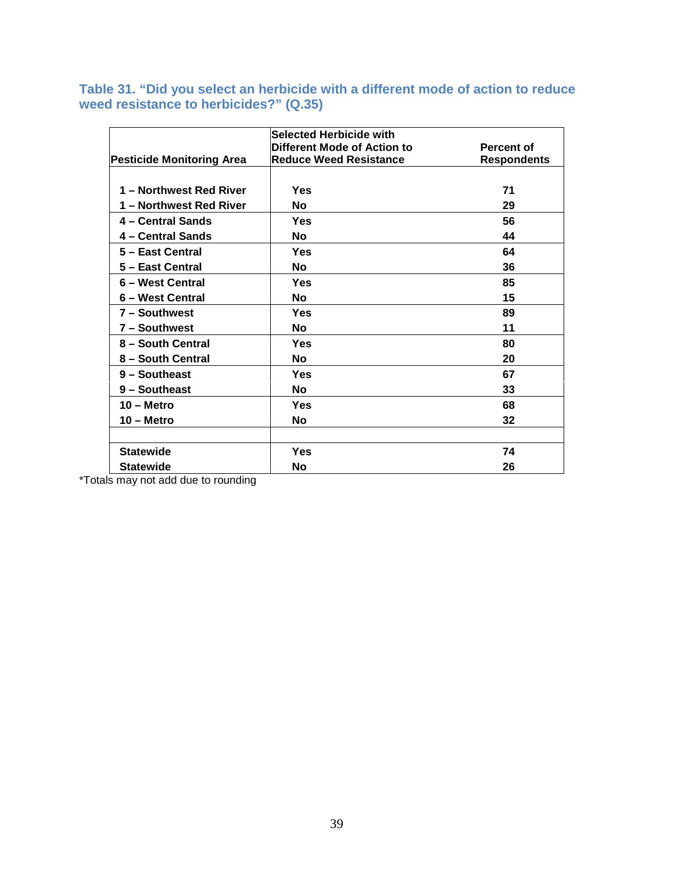#### <span id="page-39-0"></span>**Table 31. "Did you select an herbicide with a different mode of action to reduce weed resistance to herbicides?" (Q.35)**

|                                  | Selected Herbicide with       |                    |
|----------------------------------|-------------------------------|--------------------|
|                                  | Different Mode of Action to   | <b>Percent of</b>  |
| <b>Pesticide Monitoring Area</b> | <b>Reduce Weed Resistance</b> | <b>Respondents</b> |
|                                  |                               |                    |
| 1 - Northwest Red River          | Yes                           | 71                 |
| 1 – Northwest Red River          | No                            | 29                 |
| 4 – Central Sands                | Yes                           | 56                 |
| 4 – Central Sands                | No                            | 44                 |
| 5 - East Central                 | Yes                           | 64                 |
| 5 - East Central                 | <b>No</b>                     | 36                 |
| 6 - West Central                 | Yes                           | 85                 |
| 6 – West Central                 | No                            | 15                 |
| 7 - Southwest                    | Yes                           | 89                 |
| 7 - Southwest                    | <b>No</b>                     | 11                 |
| 8 - South Central                | Yes                           | 80                 |
| 8 - South Central                | No                            | 20                 |
| 9 - Southeast                    | Yes                           | 67                 |
| 9 - Southeast                    | No                            | 33                 |
| $10 -$ Metro                     | Yes                           | 68                 |
| $10 -$ Metro                     | <b>No</b>                     | 32                 |
|                                  |                               |                    |
| <b>Statewide</b>                 | Yes                           | 74                 |
| <b>Statewide</b>                 | No                            | 26                 |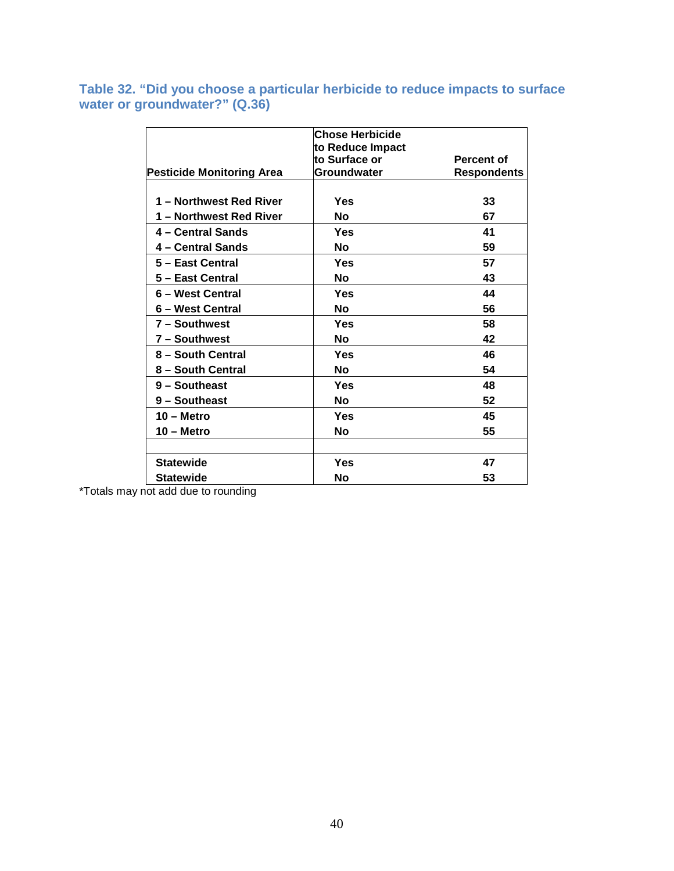<span id="page-40-0"></span>**Table 32. "Did you choose a particular herbicide to reduce impacts to surface water or groundwater?" (Q.36)** 

|                                  | <b>Chose Herbicide</b> |                    |
|----------------------------------|------------------------|--------------------|
|                                  | to Reduce Impact       |                    |
|                                  | lto Surface or         | Percent of         |
| <b>Pesticide Monitoring Area</b> | Groundwater            | <b>Respondents</b> |
|                                  |                        |                    |
| 1 – Northwest Red River          | Yes                    | 33                 |
| 1 - Northwest Red River          | No                     | 67                 |
| 4 - Central Sands                | Yes                    | 41                 |
| 4 - Central Sands                | No                     | 59                 |
| 5 - East Central                 | Yes                    | 57                 |
| 5 - East Central                 | <b>No</b>              | 43                 |
| 6 – West Central                 | Yes                    | 44                 |
| 6 – West Central                 | <b>No</b>              | 56                 |
| 7 - Southwest                    | Yes                    | 58                 |
| 7 - Southwest                    | Νo                     | 42                 |
| 8 - South Central                | Yes                    | 46                 |
| 8 - South Central                | No                     | 54                 |
| 9 - Southeast                    | Yes                    | 48                 |
| 9 - Southeast                    | No                     | 52                 |
| 10 – Metro                       | Yes                    | 45                 |
| $10 -$ Metro                     | <b>No</b>              | 55                 |
|                                  |                        |                    |
| <b>Statewide</b>                 | Yes                    | 47                 |
| Statewide                        | No                     | 53                 |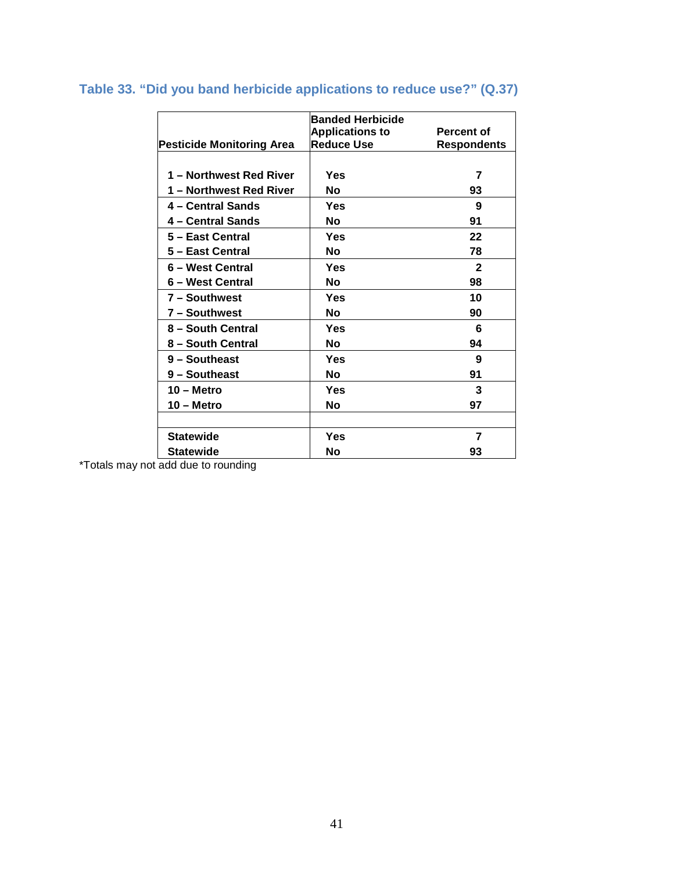|                                  | <b>Banded Herbicide</b> |                    |
|----------------------------------|-------------------------|--------------------|
|                                  | <b>Applications to</b>  | <b>Percent of</b>  |
| <b>Pesticide Monitoring Area</b> | <b>Reduce Use</b>       | <b>Respondents</b> |
|                                  |                         |                    |
| 1 – Northwest Red River          | Yes                     | 7                  |
| 1 – Northwest Red River          | No                      | 93                 |
| 4 - Central Sands                | Yes                     | 9                  |
| 4 – Central Sands                | No                      | 91                 |
| 5 - East Central                 | Yes                     | 22                 |
| 5 - East Central                 | No                      | 78                 |
| 6 - West Central                 | Yes                     | $\mathbf{2}$       |
| 6 – West Central                 | No                      | 98                 |
| 7 - Southwest                    | Yes                     | 10                 |
| 7 - Southwest                    | No                      | 90                 |
| 8 - South Central                | Yes                     | 6                  |
| 8 – South Central                | No                      | 94                 |
| 9 - Southeast                    | Yes                     | 9                  |
| 9 - Southeast                    | No                      | 91                 |
| $10 -$ Metro                     | Yes                     | 3                  |
| $10 -$ Metro                     | Νo                      | 97                 |
|                                  |                         |                    |
| <b>Statewide</b>                 | Yes                     | 7                  |
| <b>Statewide</b>                 | Nο                      | 93                 |

## <span id="page-41-0"></span>**Table 33. "Did you band herbicide applications to reduce use?" (Q.37)**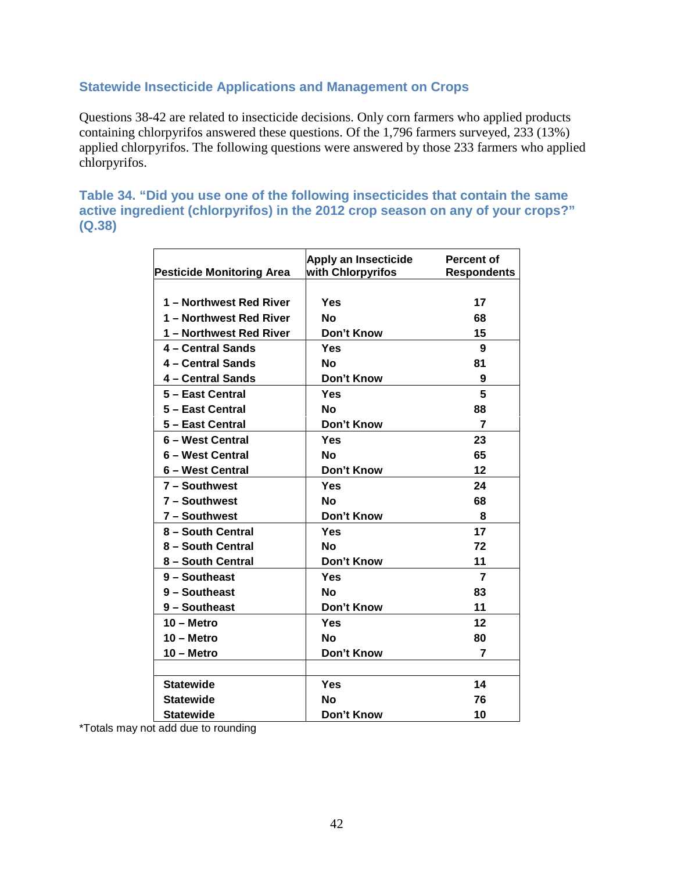#### <span id="page-42-0"></span>**Statewide Insecticide Applications and Management on Crops**

Questions 38-42 are related to insecticide decisions. Only corn farmers who applied products containing chlorpyrifos answered these questions. Of the 1,796 farmers surveyed, 233 (13%) applied chlorpyrifos. The following questions were answered by those 233 farmers who applied chlorpyrifos.

<span id="page-42-1"></span>**Table 34. "Did you use one of the following insecticides that contain the same active ingredient (chlorpyrifos) in the 2012 crop season on any of your crops?" (Q.38)** 

| <b>Pesticide Monitoring Area</b> | Apply an Insecticide<br>with Chlorpyrifos | Percent of<br><b>Respondents</b> |
|----------------------------------|-------------------------------------------|----------------------------------|
|                                  |                                           |                                  |
| 1 – Northwest Red River          | Yes                                       | 17                               |
| 1 - Northwest Red River          | <b>No</b>                                 | 68                               |
| 1 - Northwest Red River          | Don't Know                                | 15                               |
| 4 - Central Sands                | Yes                                       | 9                                |
| 4 - Central Sands                | No                                        | 81                               |
| 4 - Central Sands                | Don't Know                                | 9                                |
| 5 - East Central                 | Yes                                       | 5                                |
| 5 - East Central                 | No                                        | 88                               |
| 5 - East Central                 | Don't Know                                | 7                                |
| 6 - West Central                 | Yes                                       | 23                               |
| 6 - West Central                 | Νo                                        | 65                               |
| 6 – West Central                 | Don't Know                                | 12                               |
| 7 - Southwest                    | Yes                                       | 24                               |
| 7 - Southwest                    | No                                        | 68                               |
| 7 - Southwest                    | Don't Know                                | 8                                |
| 8 - South Central                | Yes                                       | 17                               |
| 8 - South Central                | N٥                                        | 72                               |
| 8 - South Central                | Don't Know                                | 11                               |
| 9 - Southeast                    | Yes                                       | $\overline{7}$                   |
| 9 - Southeast                    | Nο                                        | 83                               |
| 9 - Southeast                    | Don't Know                                | 11                               |
| $10 -$ Metro                     | Yes                                       | 12                               |
| $10 -$ Metro                     | <b>No</b>                                 | 80                               |
| $10 -$ Metro                     | Don't Know                                | 7                                |
|                                  |                                           |                                  |
| <b>Statewide</b>                 | Yes                                       | 14                               |
| <b>Statewide</b>                 | No                                        | 76                               |
| Statewide                        | Don't Know                                | 10                               |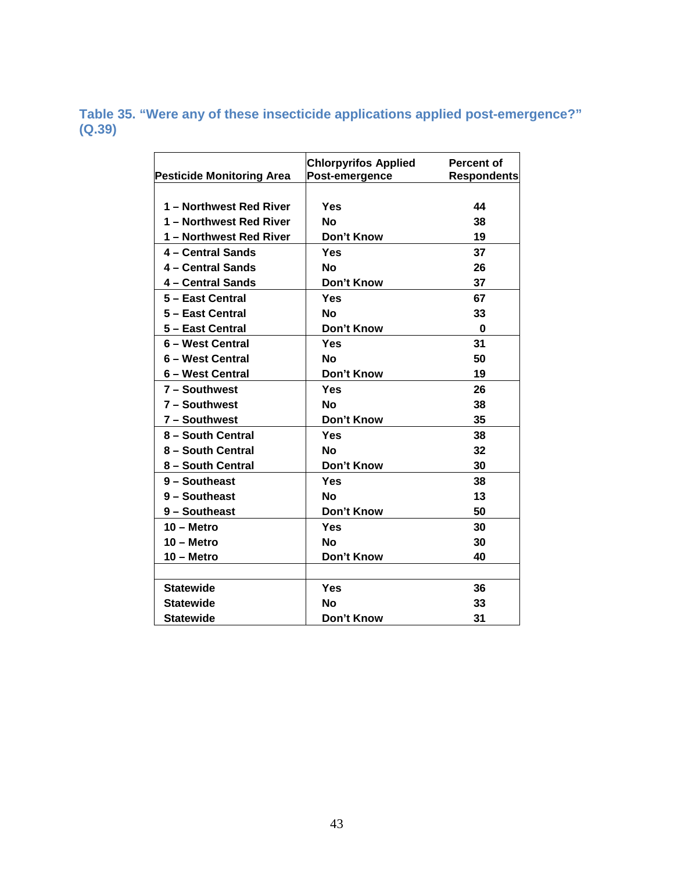<span id="page-43-0"></span>**Table 35. "Were any of these insecticide applications applied post-emergence?" (Q.39)** 

| <b>Pesticide Monitoring Area</b> | <b>Chlorpyrifos Applied</b><br>Post-emergence | <b>Percent of</b><br><b>Respondents</b> |
|----------------------------------|-----------------------------------------------|-----------------------------------------|
|                                  |                                               |                                         |
| 1 - Northwest Red River          | Yes                                           | 44                                      |
| 1 - Northwest Red River          | <b>No</b>                                     | 38                                      |
| 1 – Northwest Red River          | Don't Know                                    | 19                                      |
| 4 - Central Sands                | Yes                                           | 37                                      |
| 4 - Central Sands                | No                                            | 26                                      |
| 4 - Central Sands                | Don't Know                                    | 37                                      |
| 5 - East Central                 | Yes                                           | 67                                      |
| 5 - East Central                 | No                                            | 33                                      |
| 5 - East Central                 | Don't Know                                    | 0                                       |
| 6 - West Central                 | Yes                                           | 31                                      |
| 6 - West Central                 | Nο                                            | 50                                      |
| 6 - West Central                 | Don't Know                                    | 19                                      |
| 7 - Southwest                    | Yes                                           | 26                                      |
| 7 - Southwest                    | Nο                                            | 38                                      |
| 7 - Southwest                    | Don't Know                                    | 35                                      |
| 8 - South Central                | <b>Yes</b>                                    | 38                                      |
| 8 - South Central                | Νo                                            | 32                                      |
| 8 - South Central                | Don't Know                                    | 30                                      |
| 9 - Southeast                    | Yes                                           | 38                                      |
| 9 - Southeast                    | No                                            | 13                                      |
| 9 - Southeast                    | Don't Know                                    | 50                                      |
| $10 -$ Metro                     | Yes                                           | 30                                      |
| $10 -$ Metro                     | No                                            | 30                                      |
| $10 -$ Metro                     | Don't Know                                    | 40                                      |
|                                  |                                               |                                         |
| <b>Statewide</b>                 | Yes                                           | 36                                      |
| <b>Statewide</b>                 | No                                            | 33                                      |
| <b>Statewide</b>                 | Don't Know                                    | 31                                      |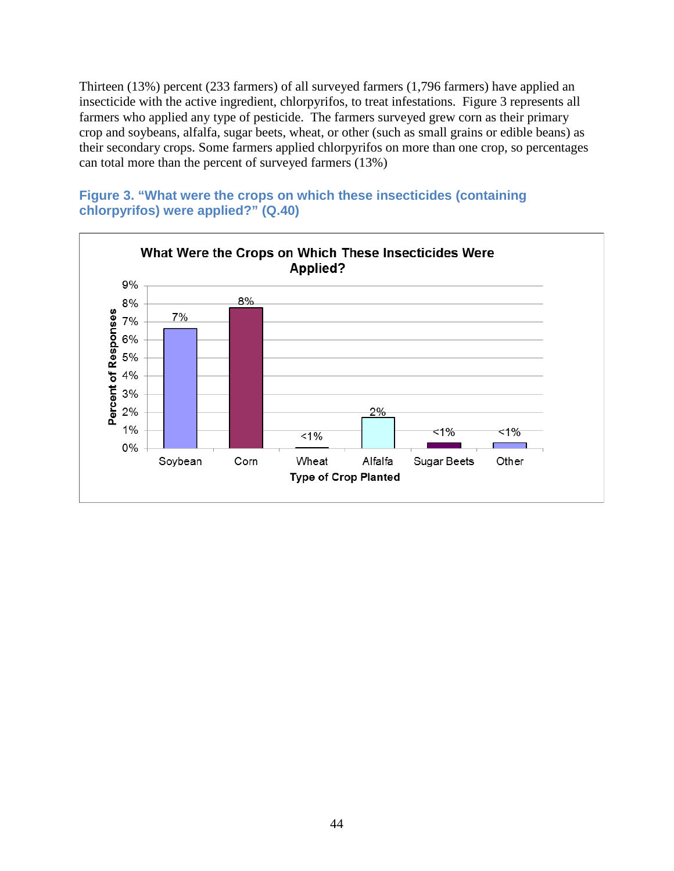Thirteen (13%) percent (233 farmers) of all surveyed farmers (1,796 farmers) have applied an insecticide with the active ingredient, chlorpyrifos, to treat infestations. Figure 3 represents all farmers who applied any type of pesticide. The farmers surveyed grew corn as their primary crop and soybeans, alfalfa, sugar beets, wheat, or other (such as small grains or edible beans) as their secondary crops. Some farmers applied chlorpyrifos on more than one crop, so percentages can total more than the percent of surveyed farmers (13%)



<span id="page-44-0"></span>**Figure 3. "What were the crops on which these insecticides (containing chlorpyrifos) were applied?" (Q.40)**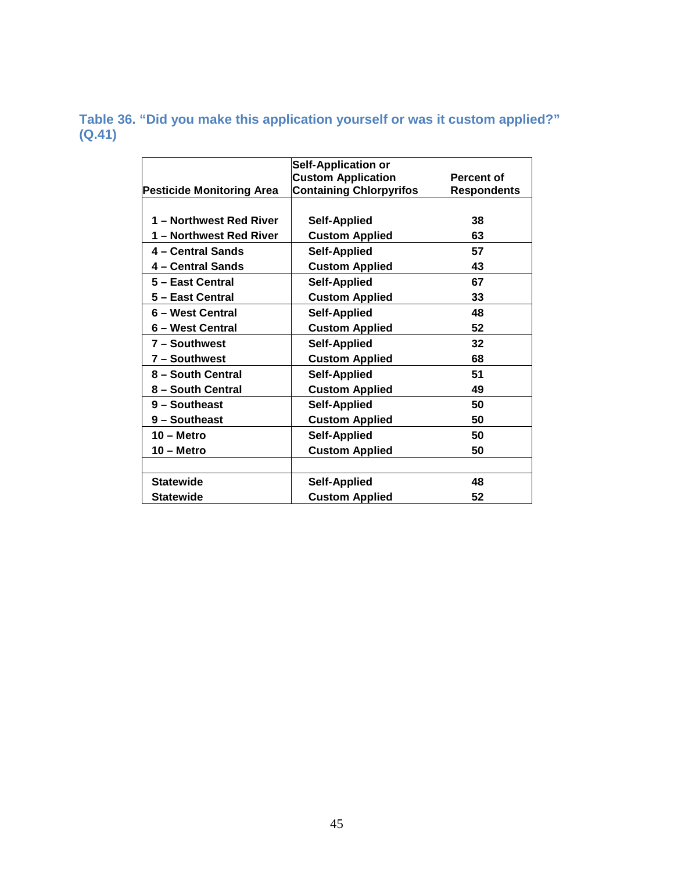### <span id="page-45-0"></span>**Table 36. "Did you make this application yourself or was it custom applied?" (Q.41)**

|                                  | <b>Self-Application or</b>     |                    |
|----------------------------------|--------------------------------|--------------------|
|                                  | <b>Custom Application</b>      | <b>Percent of</b>  |
| <b>Pesticide Monitoring Area</b> | <b>Containing Chlorpyrifos</b> | <b>Respondents</b> |
|                                  |                                |                    |
| 1 - Northwest Red River          | <b>Self-Applied</b>            | 38                 |
| 1 - Northwest Red River          | <b>Custom Applied</b>          | 63                 |
| 4 - Central Sands                | <b>Self-Applied</b>            | 57                 |
| 4 – Central Sands                | <b>Custom Applied</b>          | 43                 |
| 5 - East Central                 | <b>Self-Applied</b>            | 67                 |
| 5 - East Central                 | <b>Custom Applied</b>          | 33                 |
| 6 - West Central                 | <b>Self-Applied</b>            | 48                 |
| 6 – West Central                 | <b>Custom Applied</b>          | 52                 |
| 7 - Southwest                    | <b>Self-Applied</b>            | 32                 |
| 7 - Southwest                    | <b>Custom Applied</b>          | 68                 |
| 8 - South Central                | <b>Self-Applied</b>            | 51                 |
| 8 - South Central                | <b>Custom Applied</b>          | 49                 |
| 9 - Southeast                    | <b>Self-Applied</b>            | 50                 |
| 9 - Southeast                    | <b>Custom Applied</b>          | 50                 |
| $10 -$ Metro                     | <b>Self-Applied</b>            | 50                 |
| $10 -$ Metro                     | <b>Custom Applied</b>          | 50                 |
|                                  |                                |                    |
| <b>Statewide</b>                 | <b>Self-Applied</b>            | 48                 |
| <b>Statewide</b>                 | <b>Custom Applied</b>          | 52                 |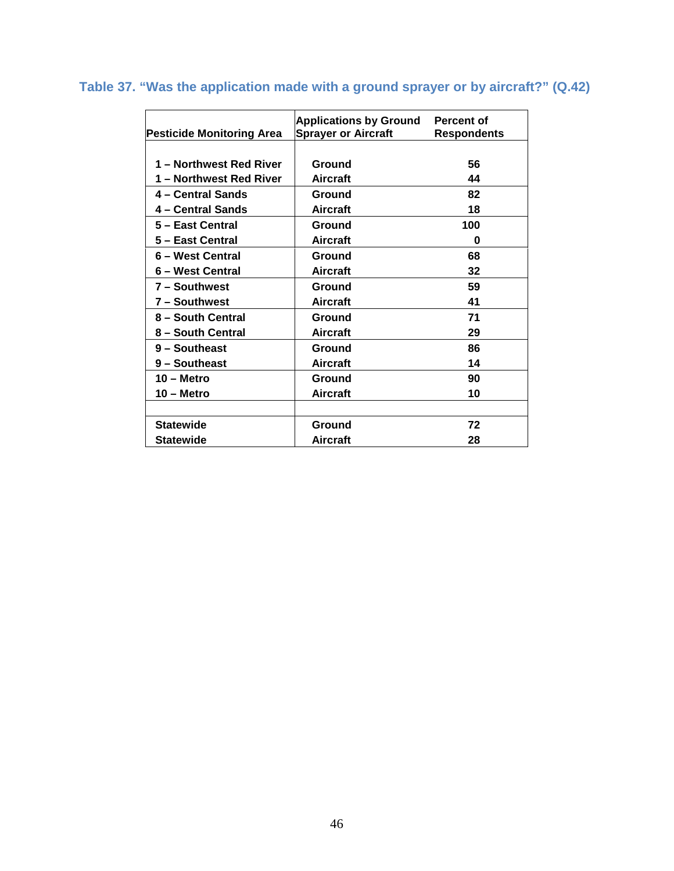| <b>Pesticide Monitoring Area</b> | <b>Applications by Ground</b><br><b>Sprayer or Aircraft</b> | Percent of<br><b>Respondents</b> |
|----------------------------------|-------------------------------------------------------------|----------------------------------|
|                                  |                                                             |                                  |
| 1 - Northwest Red River          | Ground                                                      | 56                               |
| 1 – Northwest Red River          | <b>Aircraft</b>                                             | 44                               |
| 4 – Central Sands                | Ground                                                      | 82                               |
| 4 – Central Sands                | <b>Aircraft</b>                                             | 18                               |
| 5 - East Central                 | Ground                                                      | 100                              |
| 5 – East Central                 | Aircraft                                                    | 0                                |
| 6 – West Central                 | Ground                                                      | 68                               |
| 6 – West Central                 | <b>Aircraft</b>                                             | 32                               |
| 7 - Southwest                    | Ground                                                      | 59                               |
| 7 - Southwest                    | <b>Aircraft</b>                                             | 41                               |
| 8 - South Central                | Ground                                                      | 71                               |
| 8 - South Central                | <b>Aircraft</b>                                             | 29                               |
| 9 - Southeast                    | Ground                                                      | 86                               |
| 9 - Southeast                    | <b>Aircraft</b>                                             | 14                               |
| $10 -$ Metro                     | Ground                                                      | 90                               |
| 10 – Metro                       | <b>Aircraft</b>                                             | 10                               |
|                                  |                                                             |                                  |
| <b>Statewide</b>                 | Ground                                                      | 72                               |
| <b>Statewide</b>                 | <b>Aircraft</b>                                             | 28                               |

## <span id="page-46-0"></span>**Table 37. "Was the application made with a ground sprayer or by aircraft?" (Q.42)**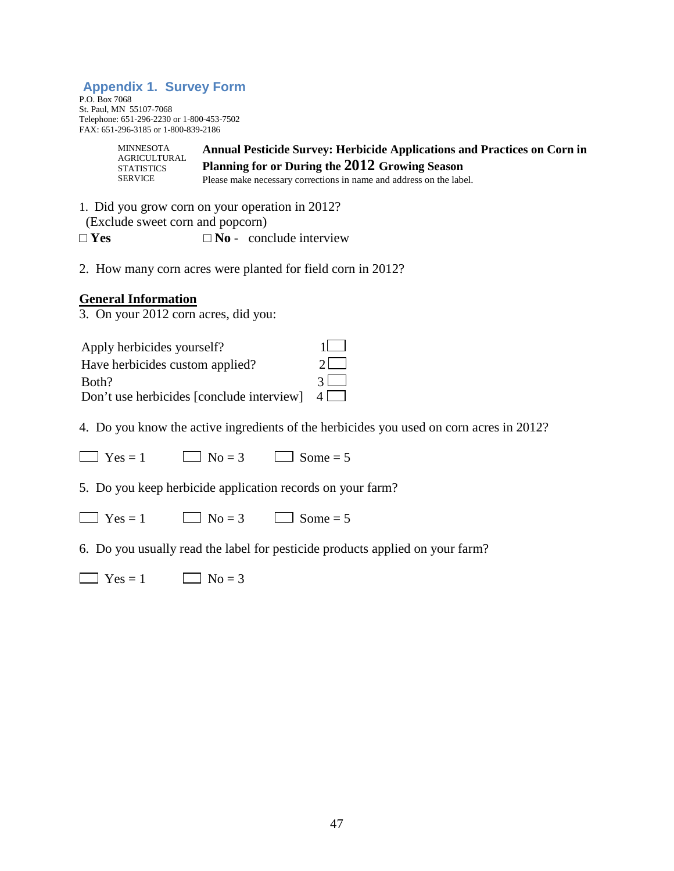#### <span id="page-47-0"></span>**Appendix 1. Survey Form**

P.O. Box 7068 St. Paul, MN 55107-7068 Telephone: 651-296-2230 or 1-800-453-7502 FAX: 651-296-3185 or 1-800-839-2186

> **Annual Pesticide Survey: Herbicide Applications and Practices on Corn in Planning for or During the 2012 Growing Season**  Please make necessary corrections in name and address on the label. MINNESOTA AGRICULTURAL **STATISTICS** SERVICE

1. Did you grow corn on your operation in 2012?

(Exclude sweet corn and popcorn)

 $\square$  **Yes**  $\square$  **No** - conclude interview

2. How many corn acres were planted for field corn in 2012?

#### **General Information**

3. On your 2012 corn acres, did you:

| Apply herbicides yourself?                         | $11 \quad 1$ |
|----------------------------------------------------|--------------|
| Have herbicides custom applied?                    | $21 - 1$     |
| Both?                                              | $31 \quad$   |
| Don't use herbicides [conclude interview] $4 \Box$ |              |

4. Do you know the active ingredients of the herbicides you used on corn acres in 2012?

 $\Box$  Yes = 1  $\Box$  No = 3  $\Box$  Some = 5

5. Do you keep herbicide application records on your farm?

 $\Box$  Yes = 1  $\Box$  No = 3  $\Box$  Some = 5

6. Do you usually read the label for pesticide products applied on your farm?

 $\Box$  Yes = 1  $\Box$  No = 3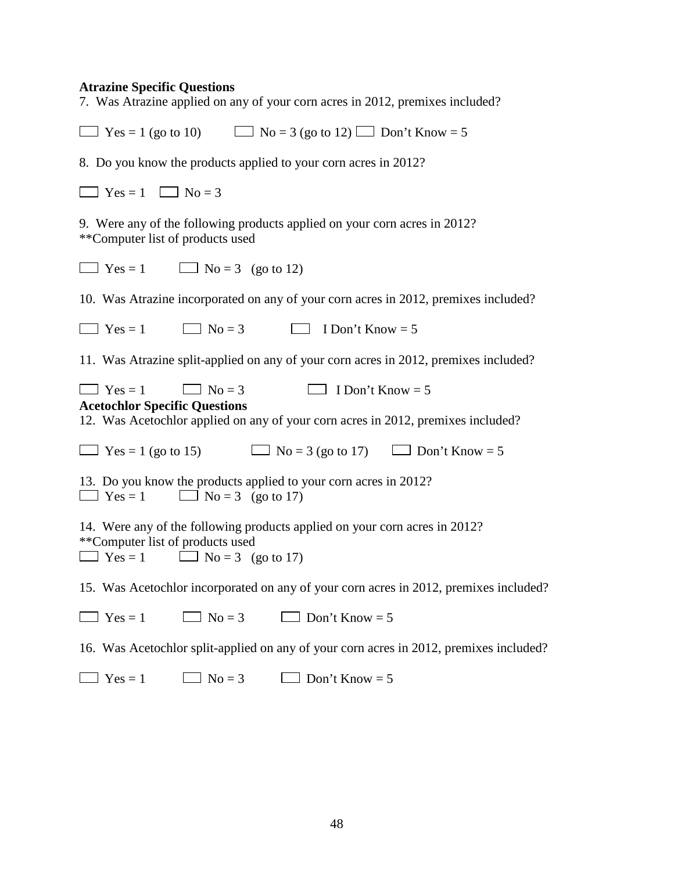#### **Atrazine Specific Questions**

7. Was Atrazine applied on any of your corn acres in 2012, premixes included?

| $\Box$ Yes = 1 (go to 10) $\Box$ No = 3 (go to 12) $\Box$ Don't Know = 5                                                                                                          |
|-----------------------------------------------------------------------------------------------------------------------------------------------------------------------------------|
| 8. Do you know the products applied to your corn acres in 2012?                                                                                                                   |
| $\Box$ Yes = 1 $\Box$ No = 3                                                                                                                                                      |
| 9. Were any of the following products applied on your corn acres in 2012?<br>**Computer list of products used                                                                     |
| $\Box$ Yes = 1<br>$\Box$ No = 3 (go to 12)                                                                                                                                        |
| 10. Was Atrazine incorporated on any of your corn acres in 2012, premixes included?                                                                                               |
| $\Box$ No = 3<br>I Don't Know $=$ 5<br>$\Box$ Yes = 1                                                                                                                             |
| 11. Was Atrazine split-applied on any of your corn acres in 2012, premixes included?                                                                                              |
| I Don't Know $= 5$<br>$\Box$ Yes = 1<br>$\Box$ No = 3<br><b>Acetochlor Specific Questions</b><br>12. Was Acetochlor applied on any of your corn acres in 2012, premixes included? |
| $\Box$ Yes = 1 (go to 15)<br>$\Box$ No = 3 (go to 17)<br>Don't Know = $5$                                                                                                         |
| 13. Do you know the products applied to your corn acres in 2012?<br>$\Box$ Yes = 1<br>$\Box$ No = 3 (go to 17)                                                                    |
| 14. Were any of the following products applied on your corn acres in 2012?<br>**Computer list of products used<br>$\Box$ No = 3 (go to 17)<br>$\Box$ Yes = 1                      |
| 15. Was Acetochlor incorporated on any of your corn acres in 2012, premixes included?                                                                                             |
| $\Box$ No = 3<br>Don't Know = $5$<br>$\Box$ Yes = 1                                                                                                                               |
| 16. Was Acetochlor split-applied on any of your corn acres in 2012, premixes included?                                                                                            |
| $\Box$ Yes = 1<br>$\Box$ No = 3<br>Don't Know = $5$                                                                                                                               |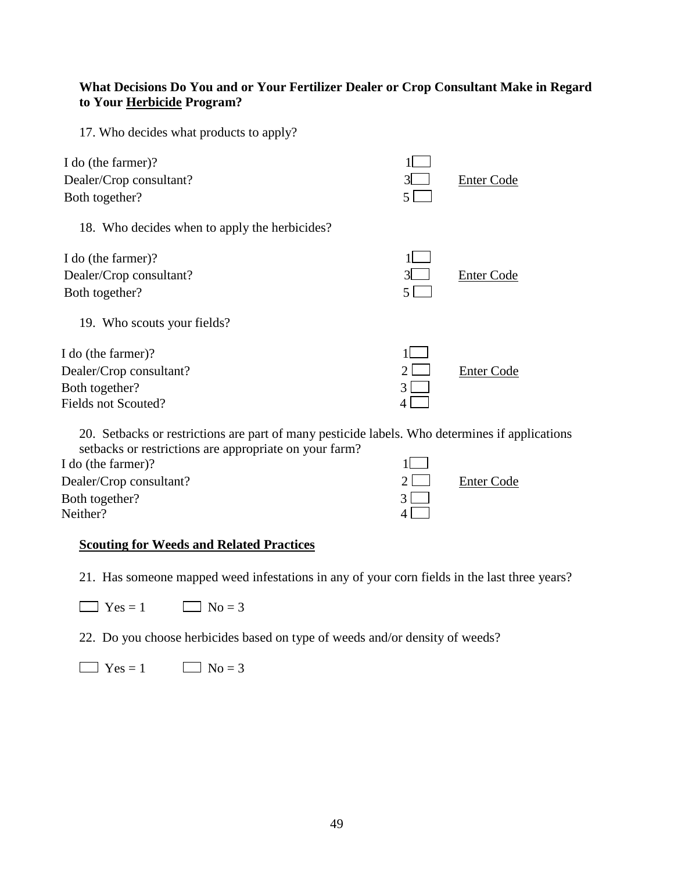#### **What Decisions Do You and or Your Fertilizer Dealer or Crop Consultant Make in Regard to Your Herbicide Program?**

17. Who decides what products to apply?

| I do (the farmer)?<br>Dealer/Crop consultant?<br>Both together?                        | $3^{\circ}$<br>5.  | <b>Enter Code</b> |
|----------------------------------------------------------------------------------------|--------------------|-------------------|
| 18. Who decides when to apply the herbicides?                                          |                    |                   |
| I do (the farmer)?<br>Dealer/Crop consultant?<br>Both together?                        | $\mathcal{R}$<br>5 | Enter Code        |
| 19. Who scouts your fields?                                                            |                    |                   |
| I do (the farmer)?<br>Dealer/Crop consultant?<br>Both together?<br>Fields not Scouted? | 3                  | Enter Code        |

20. Setbacks or restrictions are part of many pesticide labels. Who determines if applications setbacks or restrictions are appropriate on your farm?

| I do (the farmer)?      |          |                   |
|-------------------------|----------|-------------------|
| Dealer/Crop consultant? | $2 \mid$ | <b>Enter Code</b> |
| Both together?          |          |                   |
| Neither?                |          |                   |
|                         |          |                   |

#### **Scouting for Weeds and Related Practices**

21. Has someone mapped weed infestations in any of your corn fields in the last three years?

| $\Box$ Yes = . | $\Box$ No = 3 |
|----------------|---------------|
|----------------|---------------|

22. Do you choose herbicides based on type of weeds and/or density of weeds?

 $\Box$  Yes = 1  $\Box$  No = 3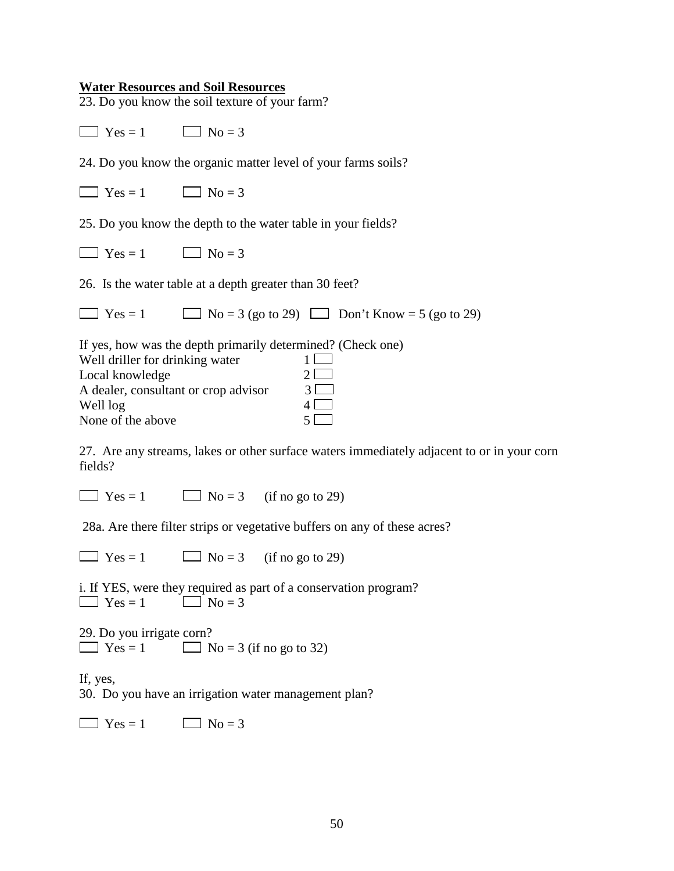#### **Water Resources and Soil Resources**

23. Do you know the soil texture of your farm?

 $\Box$  Yes = 1  $\Box$  No = 3

24. Do you know the organic matter level of your farms soils?

| $\Box$ Yes = . | $\Box$ No = 3 |
|----------------|---------------|
|----------------|---------------|

25. Do you know the depth to the water table in your fields?

| $\log$   Yes = $\log$ | $\Box$ No = |
|-----------------------|-------------|
|-----------------------|-------------|

26. Is the water table at a depth greater than 30 feet?

 $\Box$  Yes = 1  $\Box$  No = 3 (go to 29)  $\Box$  Don't Know = 5 (go to 29)

If yes, how was the depth primarily determined? (Check one)

| Well driller for drinking water      |    |
|--------------------------------------|----|
| Local knowledge                      | 21 |
| A dealer, consultant or crop advisor | 31 |
| Well log                             |    |
| None of the above                    |    |

27. Are any streams, lakes or other surface waters immediately adjacent to or in your corn fields?

 $\Box$  Yes = 1  $\Box$  No = 3 (if no go to 29)

28a. Are there filter strips or vegetative buffers on any of these acres?

 $\Box$  Yes = 1  $\Box$  No = 3 (if no go to 29)

i. If YES, were they required as part of a conservation program?  $\Box$  Yes = 1  $\Box$  No = 3

29. Do you irrigate corn?  $\Box$  Yes = 1  $\Box$  No = 3 (if no go to 32)

If, yes,

30. Do you have an irrigation water management plan?

 $\Box$  Yes = 1  $\Box$  No = 3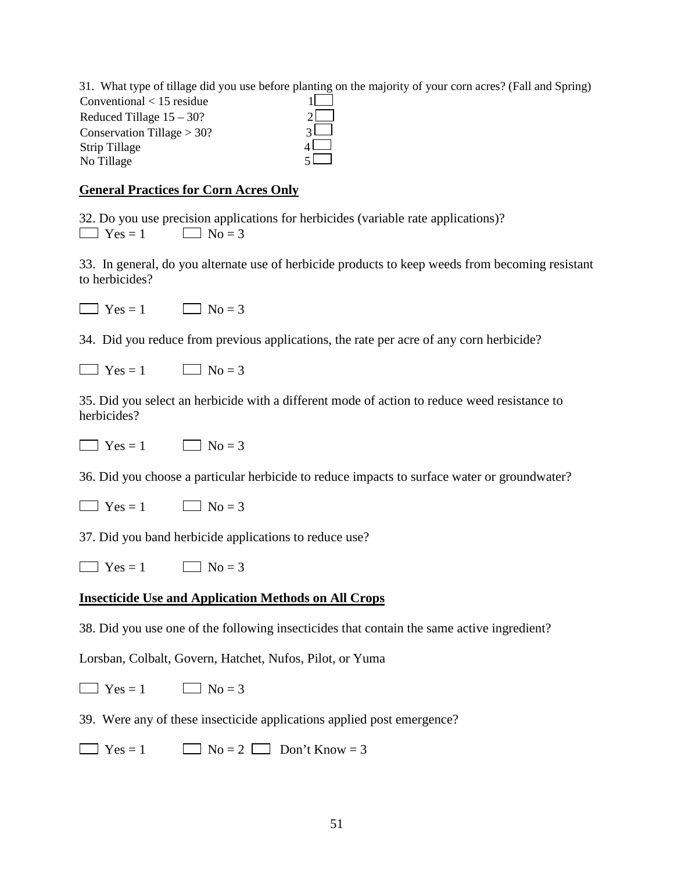31. What type of tillage did you use before planting on the majority of your corn acres? (Fall and Spring)  $Conventional < 15$  residue 1 Reduced Tillage  $15 - 30$ ? 2 Conservation Tillage  $> 30$ ? 3 Strip Tillage 4 No Tillage

#### **General Practices for Corn Acres Only**

32. Do you use precision applications for herbicides (variable rate applications)?  $\Box$  Yes = 1  $\Box$  No = 3

33. In general, do you alternate use of herbicide products to keep weeds from becoming resistant to herbicides?

 $\Box$  Yes = 1  $\Box$  No = 3

34. Did you reduce from previous applications, the rate per acre of any corn herbicide?

| $Yes =$ | $\blacksquare$ $\blacksquare$ No = |
|---------|------------------------------------|
|---------|------------------------------------|

35. Did you select an herbicide with a different mode of action to reduce weed resistance to herbicides?

 $\Box$  Yes = 1  $\Box$  No = 3

36. Did you choose a particular herbicide to reduce impacts to surface water or groundwater?

| $\Box$ Yes = 1 | $\Box$ No = 3 |
|----------------|---------------|
|----------------|---------------|

37. Did you band herbicide applications to reduce use?

 $\Box$  Yes = 1  $\Box$  No = 3

#### **Insecticide Use and Application Methods on All Crops**

38. Did you use one of the following insecticides that contain the same active ingredient?

Lorsban, Colbalt, Govern, Hatchet, Nufos, Pilot, or Yuma

 $\Box$  Yes = 1  $\Box$  No = 3

39. Were any of these insecticide applications applied post emergence?

 $\Box$  Yes = 1  $\Box$  No = 2  $\Box$  Don't Know = 3